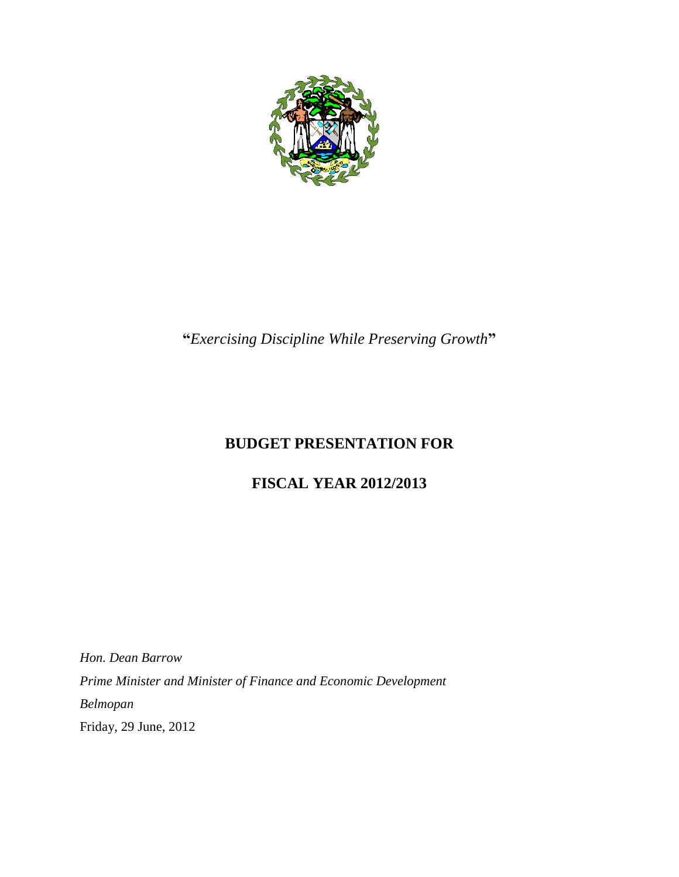

# **"***Exercising Discipline While Preserving Growth***"**

# **BUDGET PRESENTATION FOR**

# **FISCAL YEAR 2012/2013**

*Hon. Dean Barrow Prime Minister and Minister of Finance and Economic Development Belmopan* Friday, 29 June, 2012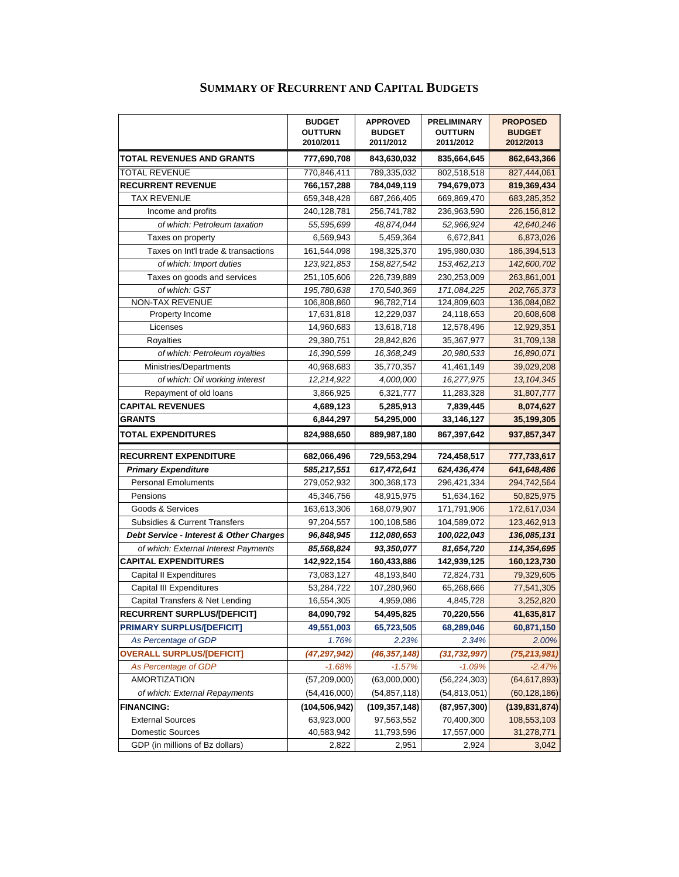|                                                    | <b>BUDGET</b><br><b>OUTTURN</b><br>2010/2011 | <b>APPROVED</b><br><b>BUDGET</b><br>2011/2012 | <b>PRELIMINARY</b><br><b>OUTTURN</b><br>2011/2012 | <b>PROPOSED</b><br><b>BUDGET</b><br>2012/2013 |
|----------------------------------------------------|----------------------------------------------|-----------------------------------------------|---------------------------------------------------|-----------------------------------------------|
| <b>TOTAL REVENUES AND GRANTS</b>                   | 777,690,708                                  | 843,630,032                                   | 835,664,645                                       | 862,643,366                                   |
| <b>TOTAL REVENUE</b>                               | 770,846,411                                  | 789,335,032                                   | 802,518,518                                       | 827,444,061                                   |
| <b>RECURRENT REVENUE</b>                           | 766,157,288                                  | 784,049,119                                   | 794,679,073                                       | 819,369,434                                   |
| <b>TAX REVENUE</b>                                 | 659,348,428                                  | 687,266,405                                   | 669,869,470                                       | 683,285,352                                   |
| Income and profits                                 | 240,128,781                                  | 256,741,782                                   | 236,963,590                                       | 226,156,812                                   |
| of which: Petroleum taxation                       | 55,595,699                                   | 48,874,044                                    | 52,966,924                                        | 42,640,246                                    |
| Taxes on property                                  | 6,569,943                                    | 5,459,364                                     | 6,672,841                                         | 6,873,026                                     |
| Taxes on Int'l trade & transactions                | 161,544,098                                  | 198,325,370                                   | 195,980,030                                       | 186,394,513                                   |
| of which: Import duties                            | 123,921,853                                  | 158,827,542                                   | 153,462,213                                       | 142,600,702                                   |
| Taxes on goods and services                        | 251,105,606                                  | 226,739,889                                   | 230,253,009                                       | 263,861,001                                   |
| of which: GST                                      | 195,780,638                                  | 170,540,369                                   | 171,084,225                                       | 202,765,373                                   |
| NON-TAX REVENUE                                    | 106,808,860                                  | 96,782,714                                    | 124,809,603                                       | 136,084,082                                   |
| Property Income                                    | 17,631,818                                   | 12,229,037                                    | 24,118,653                                        | 20,608,608                                    |
| Licenses                                           | 14,960,683                                   | 13,618,718                                    | 12,578,496                                        | 12,929,351                                    |
| Royalties                                          | 29,380,751                                   | 28,842,826                                    | 35,367,977                                        | 31,709,138                                    |
| of which: Petroleum royalties                      | 16,390,599                                   | 16,368,249                                    | 20,980,533                                        | 16,890,071                                    |
| Ministries/Departments                             | 40,968,683                                   | 35,770,357                                    | 41,461,149                                        | 39,029,208                                    |
| of which: Oil working interest                     | 12,214,922                                   | 4,000,000                                     | 16,277,975                                        | 13, 104, 345                                  |
| Repayment of old loans                             | 3,866,925                                    | 6,321,777                                     | 11,283,328                                        | 31,807,777                                    |
| <b>CAPITAL REVENUES</b>                            | 4,689,123                                    | 5,285,913                                     | 7,839,445                                         | 8,074,627                                     |
| <b>GRANTS</b>                                      | 6,844,297                                    | 54,295,000                                    | 33,146,127                                        | 35,199,305                                    |
| <b>TOTAL EXPENDITURES</b>                          | 824,988,650                                  | 889,987,180                                   | 867,397,642                                       | 937,857,347                                   |
| <b>RECURRENT EXPENDITURE</b>                       | 682,066,496                                  | 729,553,294                                   | 724,458,517                                       | 777,733,617                                   |
| <b>Primary Expenditure</b>                         | 585,217,551                                  | 617,472,641                                   | 624,436,474                                       | 641,648,486                                   |
| <b>Personal Emoluments</b>                         | 279,052,932                                  | 300,368,173                                   | 296,421,334                                       | 294,742,564                                   |
| Pensions                                           | 45,346,756                                   | 48,915,975                                    | 51,634,162                                        | 50,825,975                                    |
| Goods & Services                                   | 163,613,306                                  | 168,079,907                                   | 171,791,906                                       | 172,617,034                                   |
| <b>Subsidies &amp; Current Transfers</b>           | 97,204,557                                   | 100,108,586                                   | 104,589,072                                       | 123,462,913                                   |
| Debt Service - Interest & Other Charges            | 96,848,945                                   | 112,080,653                                   | 100,022,043                                       | 136,085,131                                   |
| of which: External Interest Payments               | 85,568,824                                   | 93,350,077                                    | 81,654,720                                        | 114,354,695                                   |
| <b>CAPITAL EXPENDITURES</b>                        | 142,922,154                                  | 160,433,886                                   | 142,939,125                                       | 160,123,730                                   |
| Capital II Expenditures                            | 73,083,127                                   | 48,193,840                                    | 72,824,731                                        | 79,329,605                                    |
| Capital III Expenditures                           | 53,284,722                                   | 107,280,960                                   | 65,268,666                                        | 77,541,305                                    |
| Capital Transfers & Net Lending                    | 16,554,305                                   | 4,959,086                                     | 4,845,728                                         | 3,252,820                                     |
| RECURRENT SURPLUS/[DEFICIT]                        | 84,090,792                                   | 54,495,825                                    | 70,220,556                                        | 41,635,817                                    |
| <b>PRIMARY SURPLUS/[DEFICIT]</b>                   | 49,551,003                                   | 65,723,505                                    | 68,289,046                                        | 60,871,150                                    |
| As Percentage of GDP                               | 1.76%                                        | 2.23%                                         | 2.34%                                             | 2.00%                                         |
| <b>OVERALL SURPLUS/[DEFICIT]</b>                   | (47, 297, 942)                               | (46, 357, 148)                                | (31, 732, 997)                                    | (75, 213, 981)                                |
| As Percentage of GDP                               | $-1.68%$                                     | $-1.57%$                                      | $-1.09%$                                          | $-2.47%$                                      |
| <b>AMORTIZATION</b>                                | (57, 209, 000)                               | (63,000,000)                                  | (56, 224, 303)                                    | (64, 617, 893)                                |
|                                                    |                                              |                                               | (54, 813, 051)                                    | (60, 128, 186)                                |
|                                                    |                                              |                                               |                                                   |                                               |
| of which: External Repayments<br><b>FINANCING:</b> | (54, 416, 000)                               | (54, 857, 118)                                |                                                   |                                               |
| <b>External Sources</b>                            | (104, 506, 942)                              | (109, 357, 148)<br>97,563,552                 | (87, 957, 300)                                    | (139, 831, 874)                               |
| <b>Domestic Sources</b>                            | 63,923,000<br>40,583,942                     | 11,793,596                                    | 70,400,300<br>17,557,000                          | 108,553,103<br>31,278,771                     |

# **SUMMARY OF RECURRENT AND CAPITAL BUDGETS**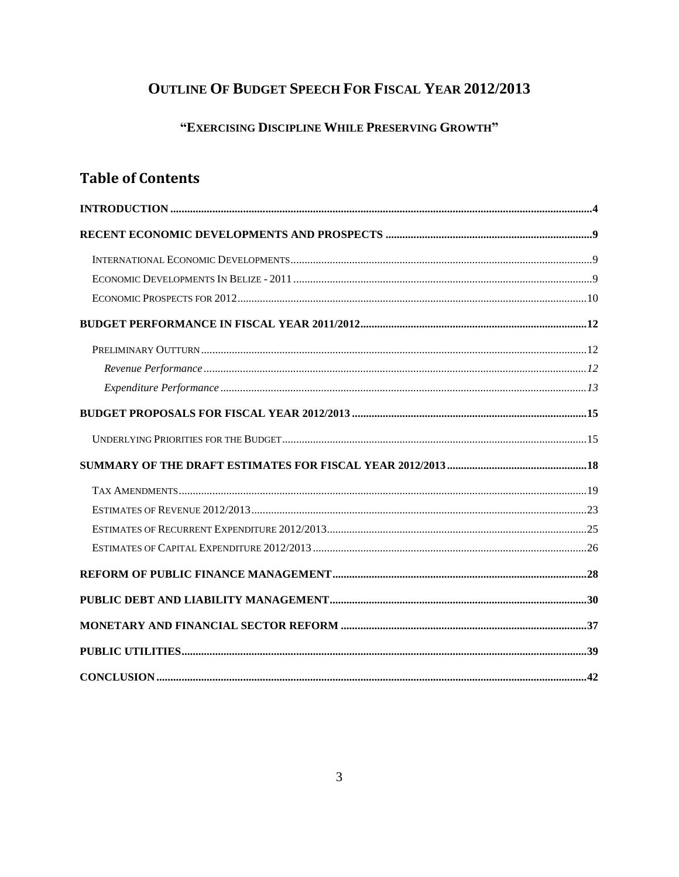# **OUTLINE OF BUDGET SPEECH FOR FISCAL YEAR 2012/2013**

# "EXERCISING DISCIPLINE WHILE PRESERVING GROWTH"

# **Table of Contents**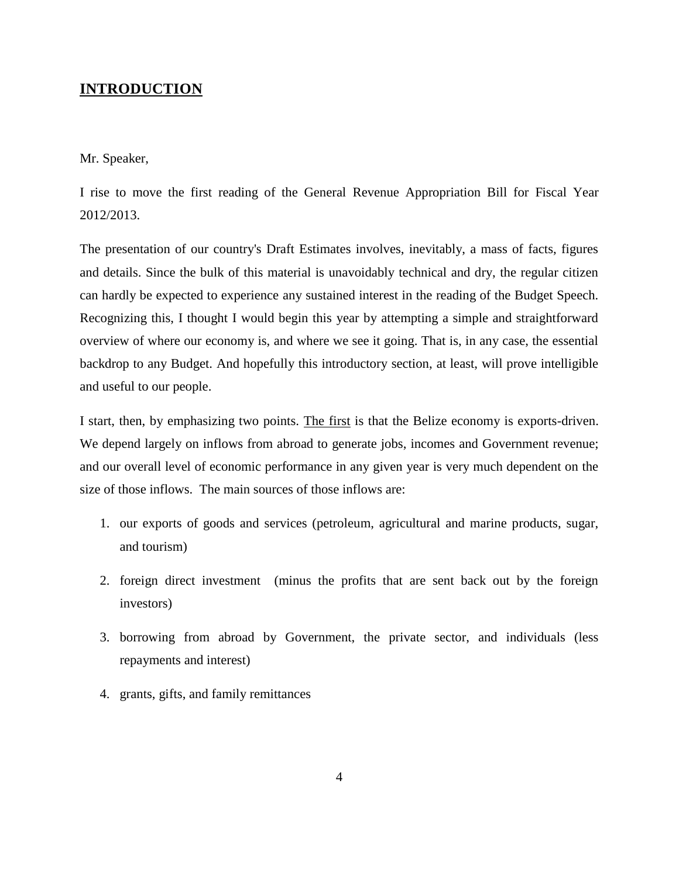# <span id="page-3-0"></span>**INTRODUCTION**

### Mr. Speaker,

I rise to move the first reading of the General Revenue Appropriation Bill for Fiscal Year 2012/2013.

The presentation of our country's Draft Estimates involves, inevitably, a mass of facts, figures and details. Since the bulk of this material is unavoidably technical and dry, the regular citizen can hardly be expected to experience any sustained interest in the reading of the Budget Speech. Recognizing this, I thought I would begin this year by attempting a simple and straightforward overview of where our economy is, and where we see it going. That is, in any case, the essential backdrop to any Budget. And hopefully this introductory section, at least, will prove intelligible and useful to our people.

I start, then, by emphasizing two points. The first is that the Belize economy is exports-driven. We depend largely on inflows from abroad to generate jobs, incomes and Government revenue; and our overall level of economic performance in any given year is very much dependent on the size of those inflows. The main sources of those inflows are:

- 1. our exports of goods and services (petroleum, agricultural and marine products, sugar, and tourism)
- 2. foreign direct investment (minus the profits that are sent back out by the foreign investors)
- 3. borrowing from abroad by Government, the private sector, and individuals (less repayments and interest)
- 4. grants, gifts, and family remittances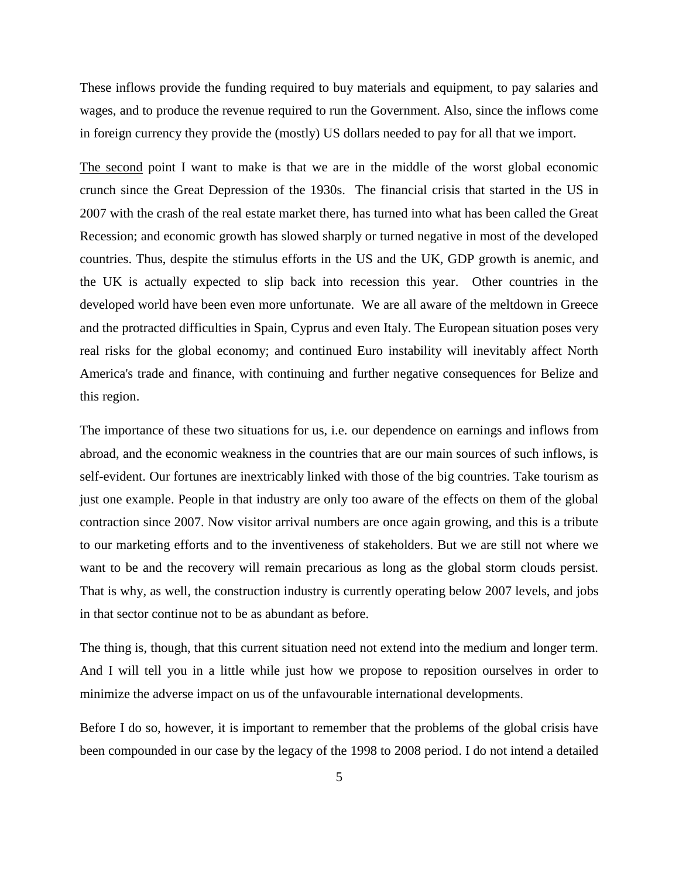These inflows provide the funding required to buy materials and equipment, to pay salaries and wages, and to produce the revenue required to run the Government. Also, since the inflows come in foreign currency they provide the (mostly) US dollars needed to pay for all that we import.

The second point I want to make is that we are in the middle of the worst global economic crunch since the Great Depression of the 1930s. The financial crisis that started in the US in 2007 with the crash of the real estate market there, has turned into what has been called the Great Recession; and economic growth has slowed sharply or turned negative in most of the developed countries. Thus, despite the stimulus efforts in the US and the UK, GDP growth is anemic, and the UK is actually expected to slip back into recession this year. Other countries in the developed world have been even more unfortunate. We are all aware of the meltdown in Greece and the protracted difficulties in Spain, Cyprus and even Italy. The European situation poses very real risks for the global economy; and continued Euro instability will inevitably affect North America's trade and finance, with continuing and further negative consequences for Belize and this region.

The importance of these two situations for us, i.e. our dependence on earnings and inflows from abroad, and the economic weakness in the countries that are our main sources of such inflows, is self-evident. Our fortunes are inextricably linked with those of the big countries. Take tourism as just one example. People in that industry are only too aware of the effects on them of the global contraction since 2007. Now visitor arrival numbers are once again growing, and this is a tribute to our marketing efforts and to the inventiveness of stakeholders. But we are still not where we want to be and the recovery will remain precarious as long as the global storm clouds persist. That is why, as well, the construction industry is currently operating below 2007 levels, and jobs in that sector continue not to be as abundant as before.

The thing is, though, that this current situation need not extend into the medium and longer term. And I will tell you in a little while just how we propose to reposition ourselves in order to minimize the adverse impact on us of the unfavourable international developments.

Before I do so, however, it is important to remember that the problems of the global crisis have been compounded in our case by the legacy of the 1998 to 2008 period. I do not intend a detailed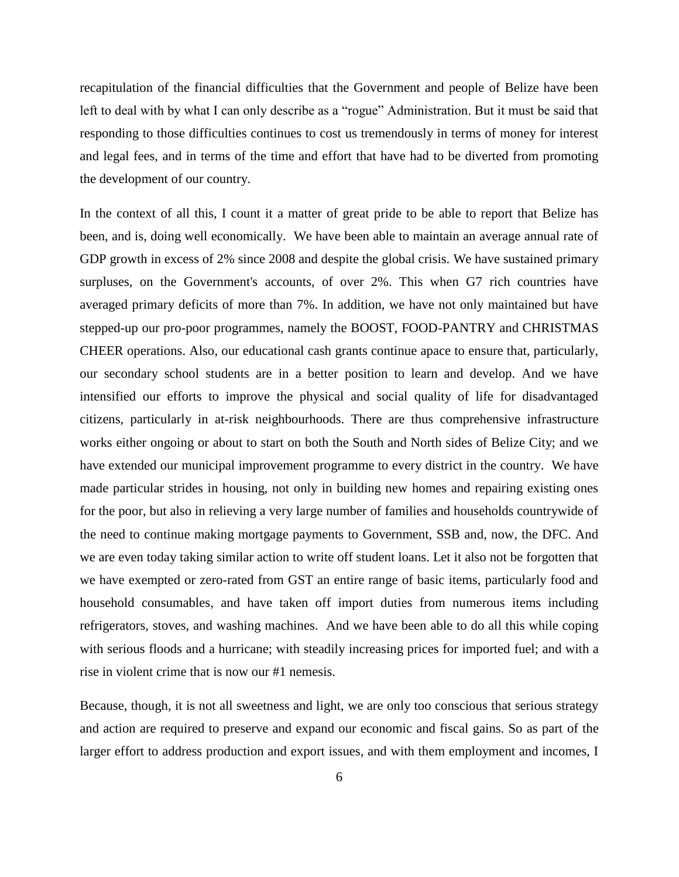recapitulation of the financial difficulties that the Government and people of Belize have been left to deal with by what I can only describe as a "rogue" Administration. But it must be said that responding to those difficulties continues to cost us tremendously in terms of money for interest and legal fees, and in terms of the time and effort that have had to be diverted from promoting the development of our country.

In the context of all this, I count it a matter of great pride to be able to report that Belize has been, and is, doing well economically. We have been able to maintain an average annual rate of GDP growth in excess of 2% since 2008 and despite the global crisis. We have sustained primary surpluses, on the Government's accounts, of over 2%. This when G7 rich countries have averaged primary deficits of more than 7%. In addition, we have not only maintained but have stepped-up our pro-poor programmes, namely the BOOST, FOOD-PANTRY and CHRISTMAS CHEER operations. Also, our educational cash grants continue apace to ensure that, particularly, our secondary school students are in a better position to learn and develop. And we have intensified our efforts to improve the physical and social quality of life for disadvantaged citizens, particularly in at-risk neighbourhoods. There are thus comprehensive infrastructure works either ongoing or about to start on both the South and North sides of Belize City; and we have extended our municipal improvement programme to every district in the country. We have made particular strides in housing, not only in building new homes and repairing existing ones for the poor, but also in relieving a very large number of families and households countrywide of the need to continue making mortgage payments to Government, SSB and, now, the DFC. And we are even today taking similar action to write off student loans. Let it also not be forgotten that we have exempted or zero-rated from GST an entire range of basic items, particularly food and household consumables, and have taken off import duties from numerous items including refrigerators, stoves, and washing machines. And we have been able to do all this while coping with serious floods and a hurricane; with steadily increasing prices for imported fuel; and with a rise in violent crime that is now our #1 nemesis.

Because, though, it is not all sweetness and light, we are only too conscious that serious strategy and action are required to preserve and expand our economic and fiscal gains. So as part of the larger effort to address production and export issues, and with them employment and incomes, I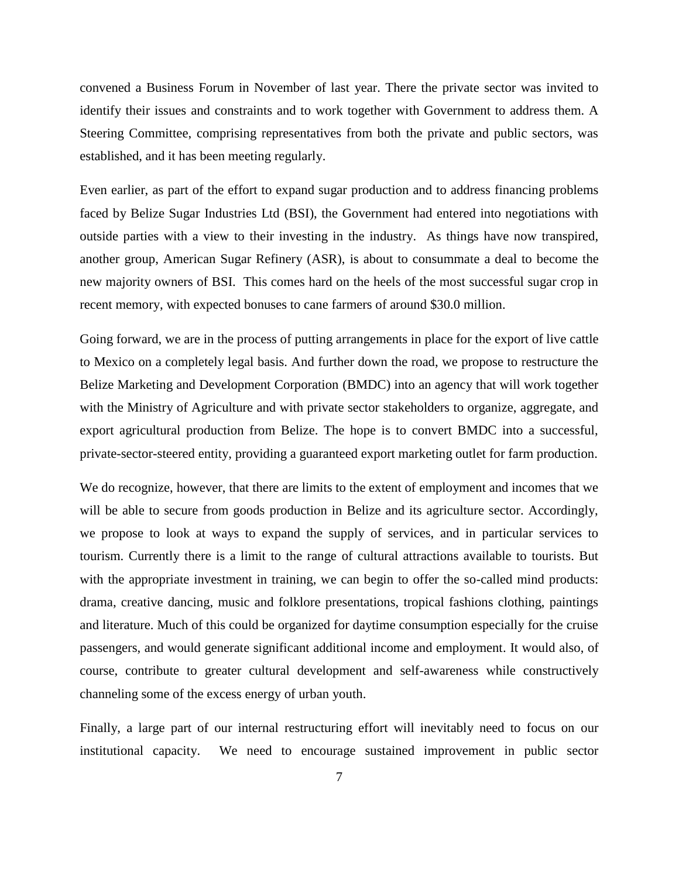convened a Business Forum in November of last year. There the private sector was invited to identify their issues and constraints and to work together with Government to address them. A Steering Committee, comprising representatives from both the private and public sectors, was established, and it has been meeting regularly.

Even earlier, as part of the effort to expand sugar production and to address financing problems faced by Belize Sugar Industries Ltd (BSI), the Government had entered into negotiations with outside parties with a view to their investing in the industry. As things have now transpired, another group, American Sugar Refinery (ASR), is about to consummate a deal to become the new majority owners of BSI. This comes hard on the heels of the most successful sugar crop in recent memory, with expected bonuses to cane farmers of around \$30.0 million.

Going forward, we are in the process of putting arrangements in place for the export of live cattle to Mexico on a completely legal basis. And further down the road, we propose to restructure the Belize Marketing and Development Corporation (BMDC) into an agency that will work together with the Ministry of Agriculture and with private sector stakeholders to organize, aggregate, and export agricultural production from Belize. The hope is to convert BMDC into a successful, private-sector-steered entity, providing a guaranteed export marketing outlet for farm production.

We do recognize, however, that there are limits to the extent of employment and incomes that we will be able to secure from goods production in Belize and its agriculture sector. Accordingly, we propose to look at ways to expand the supply of services, and in particular services to tourism. Currently there is a limit to the range of cultural attractions available to tourists. But with the appropriate investment in training, we can begin to offer the so-called mind products: drama, creative dancing, music and folklore presentations, tropical fashions clothing, paintings and literature. Much of this could be organized for daytime consumption especially for the cruise passengers, and would generate significant additional income and employment. It would also, of course, contribute to greater cultural development and self-awareness while constructively channeling some of the excess energy of urban youth.

Finally, a large part of our internal restructuring effort will inevitably need to focus on our institutional capacity. We need to encourage sustained improvement in public sector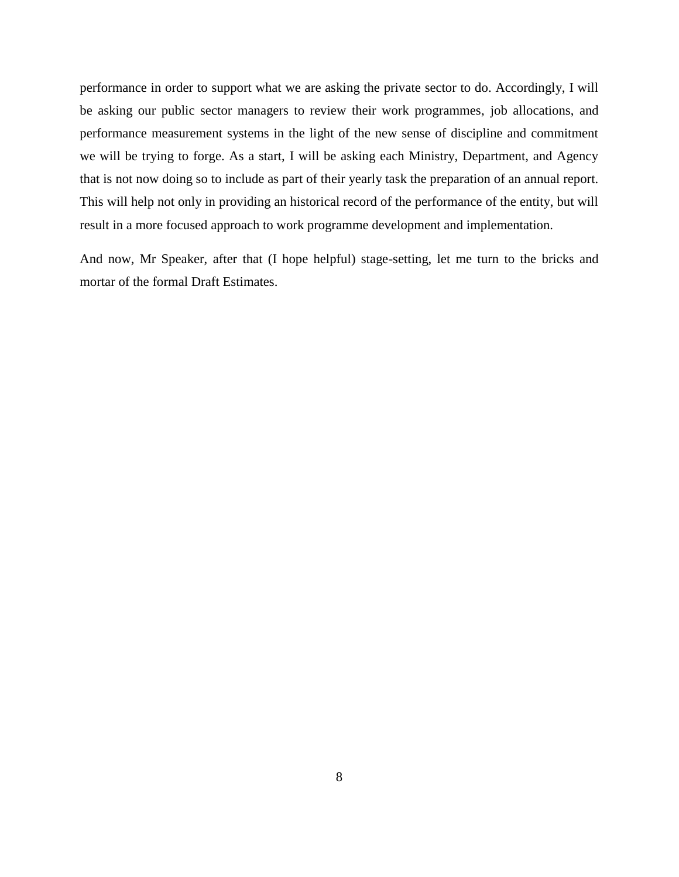performance in order to support what we are asking the private sector to do. Accordingly, I will be asking our public sector managers to review their work programmes, job allocations, and performance measurement systems in the light of the new sense of discipline and commitment we will be trying to forge. As a start, I will be asking each Ministry, Department, and Agency that is not now doing so to include as part of their yearly task the preparation of an annual report. This will help not only in providing an historical record of the performance of the entity, but will result in a more focused approach to work programme development and implementation.

And now, Mr Speaker, after that (I hope helpful) stage-setting, let me turn to the bricks and mortar of the formal Draft Estimates.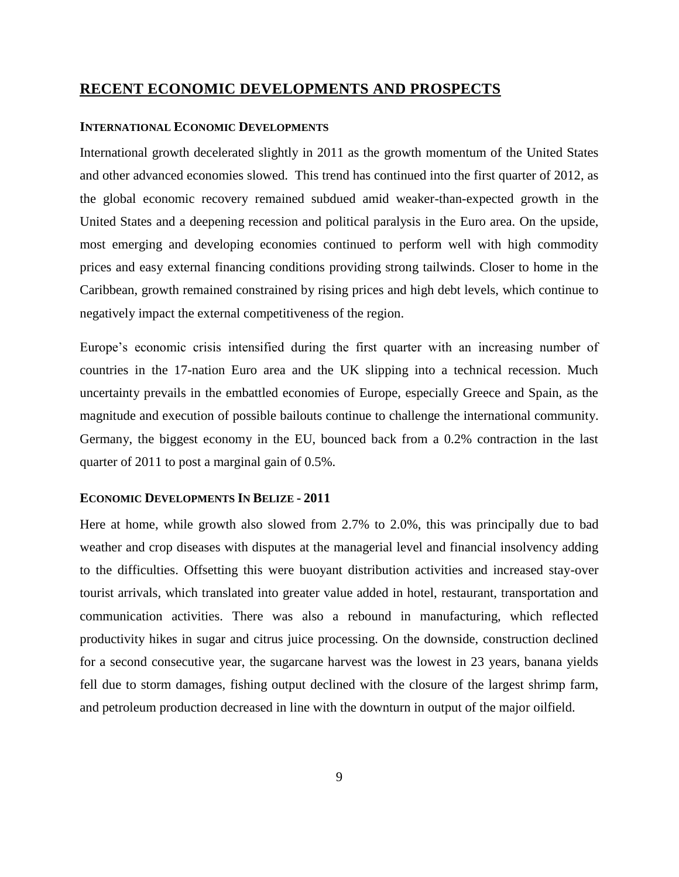## <span id="page-8-0"></span>**RECENT ECONOMIC DEVELOPMENTS AND PROSPECTS**

#### <span id="page-8-1"></span>**INTERNATIONAL ECONOMIC DEVELOPMENTS**

International growth decelerated slightly in 2011 as the growth momentum of the United States and other advanced economies slowed. This trend has continued into the first quarter of 2012, as the global economic recovery remained subdued amid weaker-than-expected growth in the United States and a deepening recession and political paralysis in the Euro area. On the upside, most emerging and developing economies continued to perform well with high commodity prices and easy external financing conditions providing strong tailwinds. Closer to home in the Caribbean, growth remained constrained by rising prices and high debt levels, which continue to negatively impact the external competitiveness of the region.

Europe's economic crisis intensified during the first quarter with an increasing number of countries in the 17-nation Euro area and the UK slipping into a technical recession. Much uncertainty prevails in the embattled economies of Europe, especially Greece and Spain, as the magnitude and execution of possible bailouts continue to challenge the international community. Germany, the biggest economy in the EU, bounced back from a 0.2% contraction in the last quarter of 2011 to post a marginal gain of 0.5%.

#### <span id="page-8-2"></span>**ECONOMIC DEVELOPMENTS IN BELIZE - 2011**

Here at home, while growth also slowed from 2.7% to 2.0%, this was principally due to bad weather and crop diseases with disputes at the managerial level and financial insolvency adding to the difficulties. Offsetting this were buoyant distribution activities and increased stay-over tourist arrivals, which translated into greater value added in hotel, restaurant, transportation and communication activities. There was also a rebound in manufacturing, which reflected productivity hikes in sugar and citrus juice processing. On the downside, construction declined for a second consecutive year, the sugarcane harvest was the lowest in 23 years, banana yields fell due to storm damages, fishing output declined with the closure of the largest shrimp farm, and petroleum production decreased in line with the downturn in output of the major oilfield.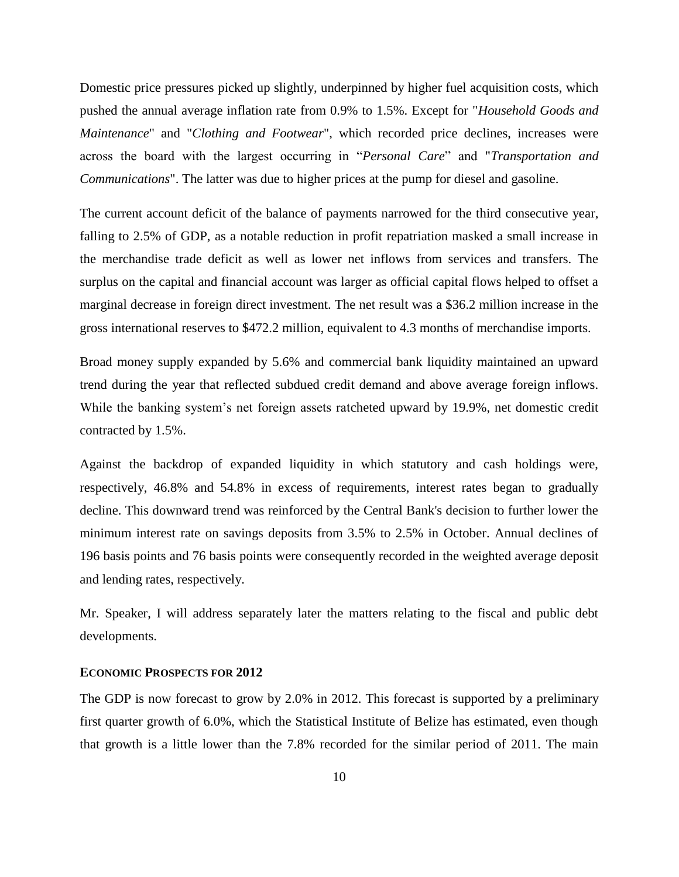Domestic price pressures picked up slightly, underpinned by higher fuel acquisition costs, which pushed the annual average inflation rate from 0.9% to 1.5%. Except for "*Household Goods and Maintenance*" and "*Clothing and Footwear*", which recorded price declines, increases were across the board with the largest occurring in "*Personal Care*" and "*Transportation and Communications*". The latter was due to higher prices at the pump for diesel and gasoline.

The current account deficit of the balance of payments narrowed for the third consecutive year, falling to 2.5% of GDP, as a notable reduction in profit repatriation masked a small increase in the merchandise trade deficit as well as lower net inflows from services and transfers. The surplus on the capital and financial account was larger as official capital flows helped to offset a marginal decrease in foreign direct investment. The net result was a \$36.2 million increase in the gross international reserves to \$472.2 million, equivalent to 4.3 months of merchandise imports.

Broad money supply expanded by 5.6% and commercial bank liquidity maintained an upward trend during the year that reflected subdued credit demand and above average foreign inflows. While the banking system's net foreign assets ratcheted upward by 19.9%, net domestic credit contracted by 1.5%.

Against the backdrop of expanded liquidity in which statutory and cash holdings were, respectively, 46.8% and 54.8% in excess of requirements, interest rates began to gradually decline. This downward trend was reinforced by the Central Bank's decision to further lower the minimum interest rate on savings deposits from 3.5% to 2.5% in October. Annual declines of 196 basis points and 76 basis points were consequently recorded in the weighted average deposit and lending rates, respectively.

Mr. Speaker, I will address separately later the matters relating to the fiscal and public debt developments.

#### <span id="page-9-0"></span>**ECONOMIC PROSPECTS FOR 2012**

The GDP is now forecast to grow by 2.0% in 2012. This forecast is supported by a preliminary first quarter growth of 6.0%, which the Statistical Institute of Belize has estimated, even though that growth is a little lower than the 7.8% recorded for the similar period of 2011. The main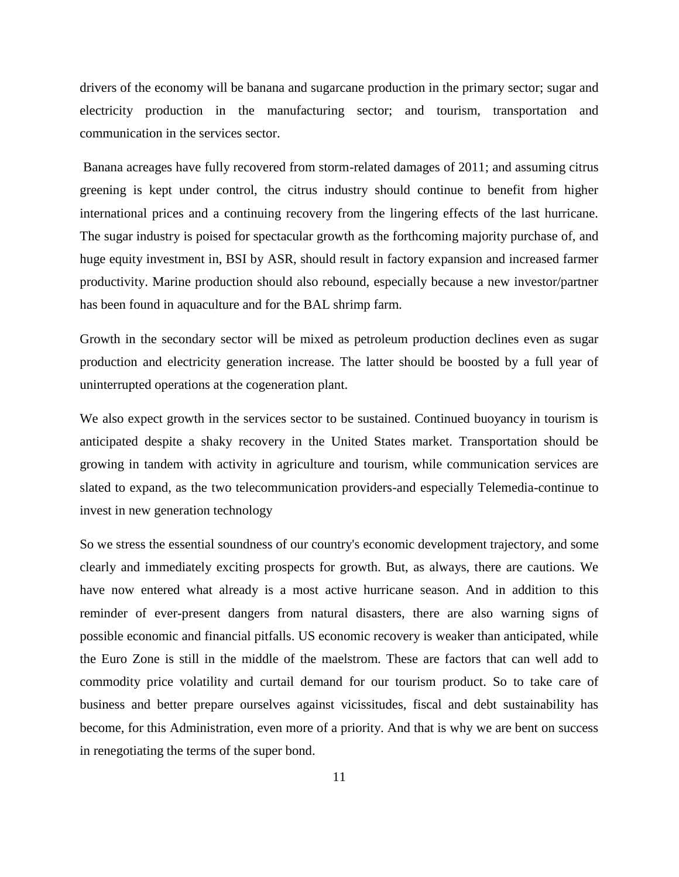drivers of the economy will be banana and sugarcane production in the primary sector; sugar and electricity production in the manufacturing sector; and tourism, transportation and communication in the services sector.

Banana acreages have fully recovered from storm-related damages of 2011; and assuming citrus greening is kept under control, the citrus industry should continue to benefit from higher international prices and a continuing recovery from the lingering effects of the last hurricane. The sugar industry is poised for spectacular growth as the forthcoming majority purchase of, and huge equity investment in, BSI by ASR, should result in factory expansion and increased farmer productivity. Marine production should also rebound, especially because a new investor/partner has been found in aquaculture and for the BAL shrimp farm.

Growth in the secondary sector will be mixed as petroleum production declines even as sugar production and electricity generation increase. The latter should be boosted by a full year of uninterrupted operations at the cogeneration plant.

We also expect growth in the services sector to be sustained. Continued buoyancy in tourism is anticipated despite a shaky recovery in the United States market. Transportation should be growing in tandem with activity in agriculture and tourism, while communication services are slated to expand, as the two telecommunication providers-and especially Telemedia-continue to invest in new generation technology

So we stress the essential soundness of our country's economic development trajectory, and some clearly and immediately exciting prospects for growth. But, as always, there are cautions. We have now entered what already is a most active hurricane season. And in addition to this reminder of ever-present dangers from natural disasters, there are also warning signs of possible economic and financial pitfalls. US economic recovery is weaker than anticipated, while the Euro Zone is still in the middle of the maelstrom. These are factors that can well add to commodity price volatility and curtail demand for our tourism product. So to take care of business and better prepare ourselves against vicissitudes, fiscal and debt sustainability has become, for this Administration, even more of a priority. And that is why we are bent on success in renegotiating the terms of the super bond.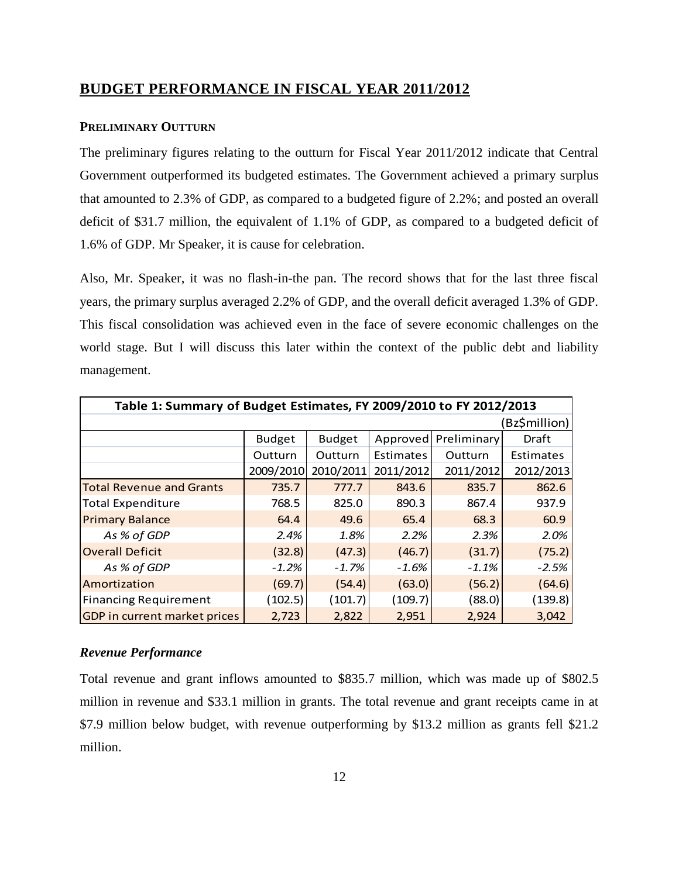# <span id="page-11-0"></span>**BUDGET PERFORMANCE IN FISCAL YEAR 2011/2012**

#### <span id="page-11-1"></span>**PRELIMINARY OUTTURN**

The preliminary figures relating to the outturn for Fiscal Year 2011/2012 indicate that Central Government outperformed its budgeted estimates. The Government achieved a primary surplus that amounted to 2.3% of GDP, as compared to a budgeted figure of 2.2%; and posted an overall deficit of \$31.7 million, the equivalent of 1.1% of GDP, as compared to a budgeted deficit of 1.6% of GDP. Mr Speaker, it is cause for celebration.

Also, Mr. Speaker, it was no flash-in-the pan. The record shows that for the last three fiscal years, the primary surplus averaged 2.2% of GDP, and the overall deficit averaged 1.3% of GDP. This fiscal consolidation was achieved even in the face of severe economic challenges on the world stage. But I will discuss this later within the context of the public debt and liability management.

| Table 1: Summary of Budget Estimates, FY 2009/2010 to FY 2012/2013 |               |               |           |                      |           |  |  |
|--------------------------------------------------------------------|---------------|---------------|-----------|----------------------|-----------|--|--|
| Bz\$million)                                                       |               |               |           |                      |           |  |  |
|                                                                    | <b>Budget</b> | <b>Budget</b> |           | Approved Preliminary | Draft     |  |  |
|                                                                    | Outturn       | Outturn       | Estimates | Outturn              | Estimates |  |  |
|                                                                    | 2009/2010     | 2010/2011     | 2011/2012 | 2011/2012            | 2012/2013 |  |  |
| <b>Total Revenue and Grants</b>                                    | 735.7         | 777.7         | 843.6     | 835.7                | 862.6     |  |  |
| <b>Total Expenditure</b>                                           | 768.5         | 825.0         | 890.3     | 867.4                | 937.9     |  |  |
| <b>Primary Balance</b>                                             | 64.4          | 49.6          | 65.4      | 68.3                 | 60.9      |  |  |
| As % of GDP                                                        | 2.4%          | 1.8%          | 2.2%      | 2.3%                 | 2.0%      |  |  |
| <b>Overall Deficit</b>                                             | (32.8)        | (47.3)        | (46.7)    | (31.7)               | (75.2)    |  |  |
| As % of GDP                                                        | $-1.2%$       | $-1.7%$       | $-1.6\%$  | $-1.1%$              | $-2.5%$   |  |  |
| Amortization                                                       | (69.7)        | (54.4)        | (63.0)    | (56.2)               | (64.6)    |  |  |
| <b>Financing Requirement</b>                                       | (102.5)       | (101.7)       | (109.7)   | (88.0)               | (139.8)   |  |  |
| GDP in current market prices                                       | 2,723         | 2,822         | 2,951     | 2,924                | 3,042     |  |  |

#### <span id="page-11-2"></span>*Revenue Performance*

Total revenue and grant inflows amounted to \$835.7 million, which was made up of \$802.5 million in revenue and \$33.1 million in grants. The total revenue and grant receipts came in at \$7.9 million below budget, with revenue outperforming by \$13.2 million as grants fell \$21.2 million.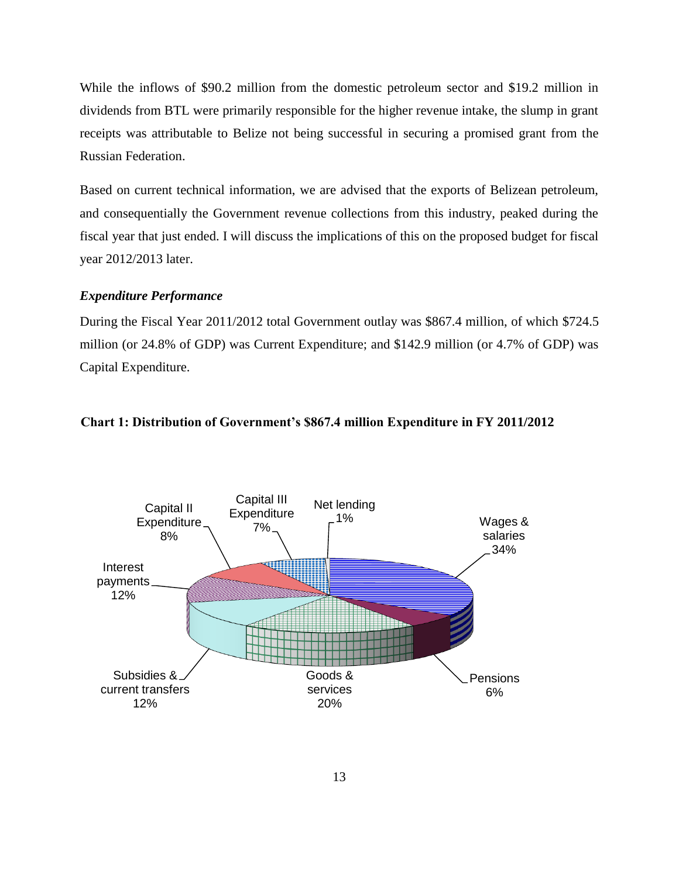While the inflows of \$90.2 million from the domestic petroleum sector and \$19.2 million in dividends from BTL were primarily responsible for the higher revenue intake, the slump in grant receipts was attributable to Belize not being successful in securing a promised grant from the Russian Federation.

Based on current technical information, we are advised that the exports of Belizean petroleum, and consequentially the Government revenue collections from this industry, peaked during the fiscal year that just ended. I will discuss the implications of this on the proposed budget for fiscal year 2012/2013 later.

## <span id="page-12-0"></span>*Expenditure Performance*

During the Fiscal Year 2011/2012 total Government outlay was \$867.4 million, of which \$724.5 million (or 24.8% of GDP) was Current Expenditure; and \$142.9 million (or 4.7% of GDP) was Capital Expenditure.

## **Chart 1: Distribution of Government's \$867.4 million Expenditure in FY 2011/2012**

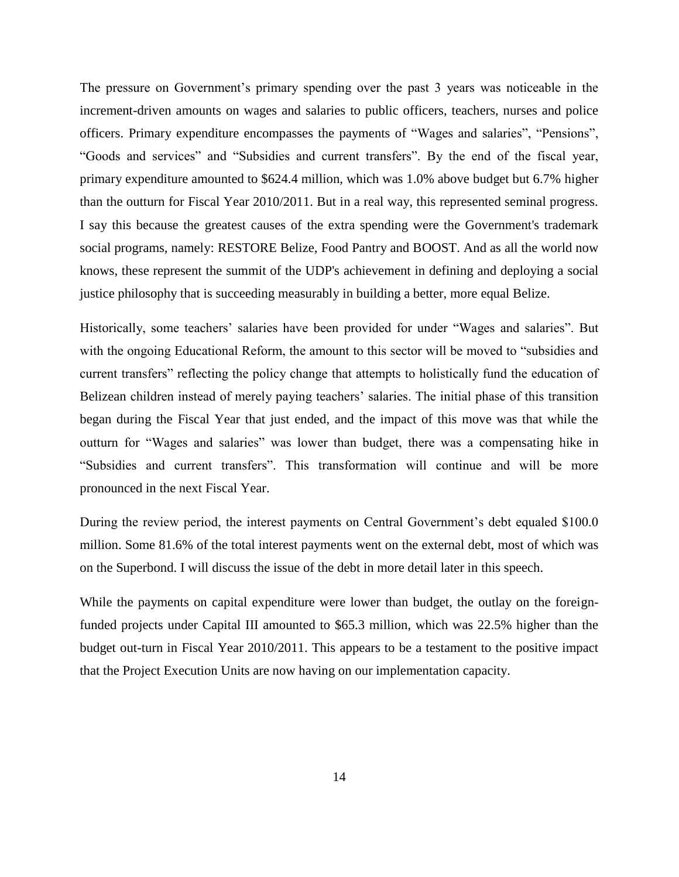The pressure on Government's primary spending over the past 3 years was noticeable in the increment-driven amounts on wages and salaries to public officers, teachers, nurses and police officers. Primary expenditure encompasses the payments of "Wages and salaries", "Pensions", "Goods and services" and "Subsidies and current transfers". By the end of the fiscal year, primary expenditure amounted to \$624.4 million, which was 1.0% above budget but 6.7% higher than the outturn for Fiscal Year 2010/2011. But in a real way, this represented seminal progress. I say this because the greatest causes of the extra spending were the Government's trademark social programs, namely: RESTORE Belize, Food Pantry and BOOST. And as all the world now knows, these represent the summit of the UDP's achievement in defining and deploying a social justice philosophy that is succeeding measurably in building a better, more equal Belize.

Historically, some teachers' salaries have been provided for under "Wages and salaries". But with the ongoing Educational Reform, the amount to this sector will be moved to "subsidies and current transfers" reflecting the policy change that attempts to holistically fund the education of Belizean children instead of merely paying teachers' salaries. The initial phase of this transition began during the Fiscal Year that just ended, and the impact of this move was that while the outturn for "Wages and salaries" was lower than budget, there was a compensating hike in "Subsidies and current transfers". This transformation will continue and will be more pronounced in the next Fiscal Year.

During the review period, the interest payments on Central Government's debt equaled \$100.0 million. Some 81.6% of the total interest payments went on the external debt, most of which was on the Superbond. I will discuss the issue of the debt in more detail later in this speech.

While the payments on capital expenditure were lower than budget, the outlay on the foreignfunded projects under Capital III amounted to \$65.3 million, which was 22.5% higher than the budget out-turn in Fiscal Year 2010/2011. This appears to be a testament to the positive impact that the Project Execution Units are now having on our implementation capacity.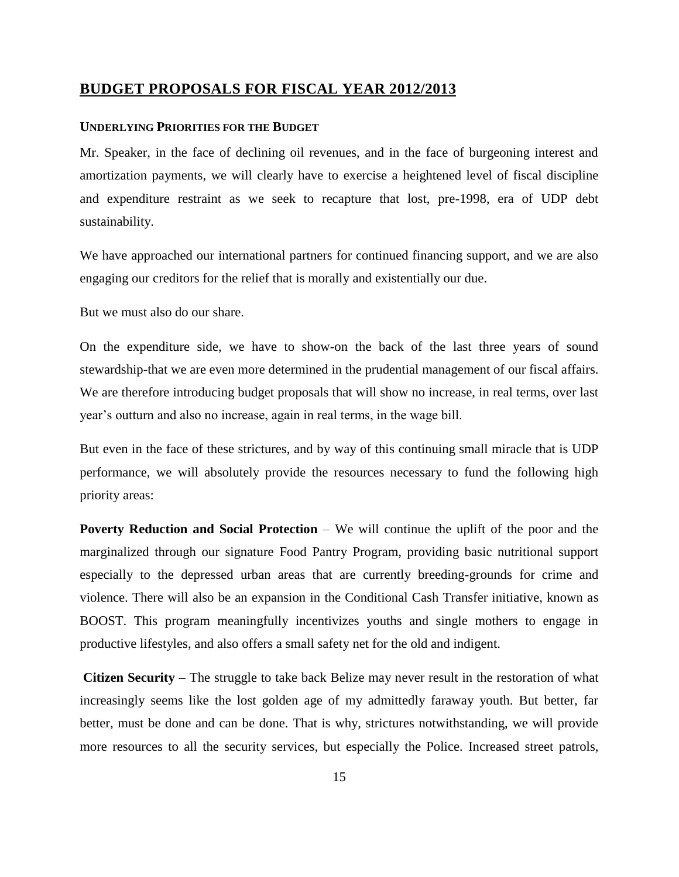## <span id="page-14-0"></span>**BUDGET PROPOSALS FOR FISCAL YEAR 2012/2013**

#### <span id="page-14-1"></span>**UNDERLYING PRIORITIES FOR THE BUDGET**

Mr. Speaker, in the face of declining oil revenues, and in the face of burgeoning interest and amortization payments, we will clearly have to exercise a heightened level of fiscal discipline and expenditure restraint as we seek to recapture that lost, pre-1998, era of UDP debt sustainability.

We have approached our international partners for continued financing support, and we are also engaging our creditors for the relief that is morally and existentially our due.

But we must also do our share.

On the expenditure side, we have to show-on the back of the last three years of sound stewardship-that we are even more determined in the prudential management of our fiscal affairs. We are therefore introducing budget proposals that will show no increase, in real terms, over last year's outturn and also no increase, again in real terms, in the wage bill.

But even in the face of these strictures, and by way of this continuing small miracle that is UDP performance, we will absolutely provide the resources necessary to fund the following high priority areas:

**Poverty Reduction and Social Protection** – We will continue the uplift of the poor and the marginalized through our signature Food Pantry Program, providing basic nutritional support especially to the depressed urban areas that are currently breeding-grounds for crime and violence. There will also be an expansion in the Conditional Cash Transfer initiative, known as BOOST. This program meaningfully incentivizes youths and single mothers to engage in productive lifestyles, and also offers a small safety net for the old and indigent.

**Citizen Security** – The struggle to take back Belize may never result in the restoration of what increasingly seems like the lost golden age of my admittedly faraway youth. But better, far better, must be done and can be done. That is why, strictures notwithstanding, we will provide more resources to all the security services, but especially the Police. Increased street patrols,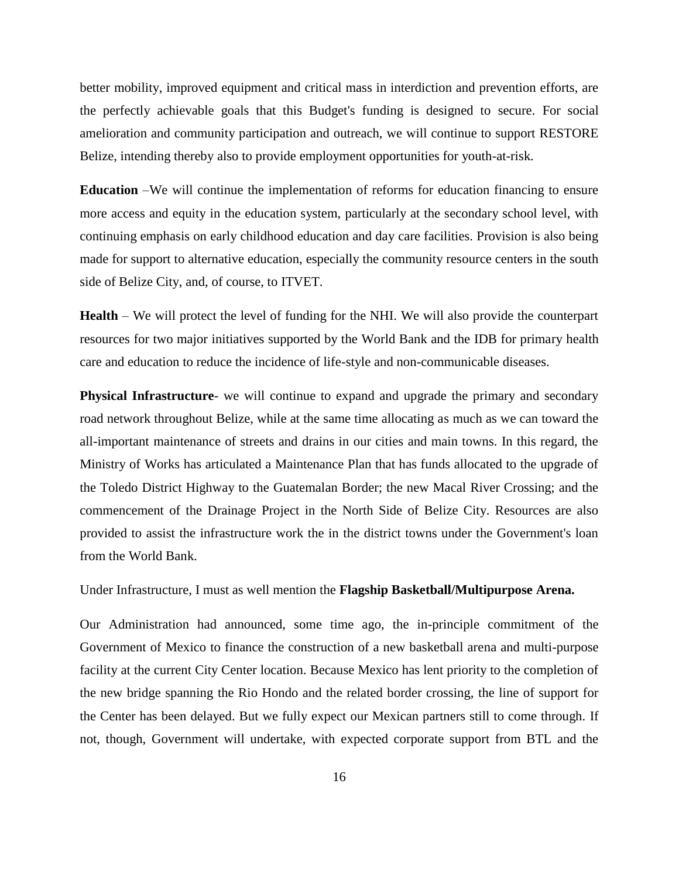better mobility, improved equipment and critical mass in interdiction and prevention efforts, are the perfectly achievable goals that this Budget's funding is designed to secure. For social amelioration and community participation and outreach, we will continue to support RESTORE Belize, intending thereby also to provide employment opportunities for youth-at-risk.

**Education** –We will continue the implementation of reforms for education financing to ensure more access and equity in the education system, particularly at the secondary school level, with continuing emphasis on early childhood education and day care facilities. Provision is also being made for support to alternative education, especially the community resource centers in the south side of Belize City, and, of course, to ITVET.

**Health** – We will protect the level of funding for the NHI. We will also provide the counterpart resources for two major initiatives supported by the World Bank and the IDB for primary health care and education to reduce the incidence of life-style and non-communicable diseases.

**Physical Infrastructure**- we will continue to expand and upgrade the primary and secondary road network throughout Belize, while at the same time allocating as much as we can toward the all-important maintenance of streets and drains in our cities and main towns. In this regard, the Ministry of Works has articulated a Maintenance Plan that has funds allocated to the upgrade of the Toledo District Highway to the Guatemalan Border; the new Macal River Crossing; and the commencement of the Drainage Project in the North Side of Belize City. Resources are also provided to assist the infrastructure work the in the district towns under the Government's loan from the World Bank.

Under Infrastructure, I must as well mention the **Flagship Basketball/Multipurpose Arena.**

Our Administration had announced, some time ago, the in-principle commitment of the Government of Mexico to finance the construction of a new basketball arena and multi-purpose facility at the current City Center location. Because Mexico has lent priority to the completion of the new bridge spanning the Rio Hondo and the related border crossing, the line of support for the Center has been delayed. But we fully expect our Mexican partners still to come through. If not, though, Government will undertake, with expected corporate support from BTL and the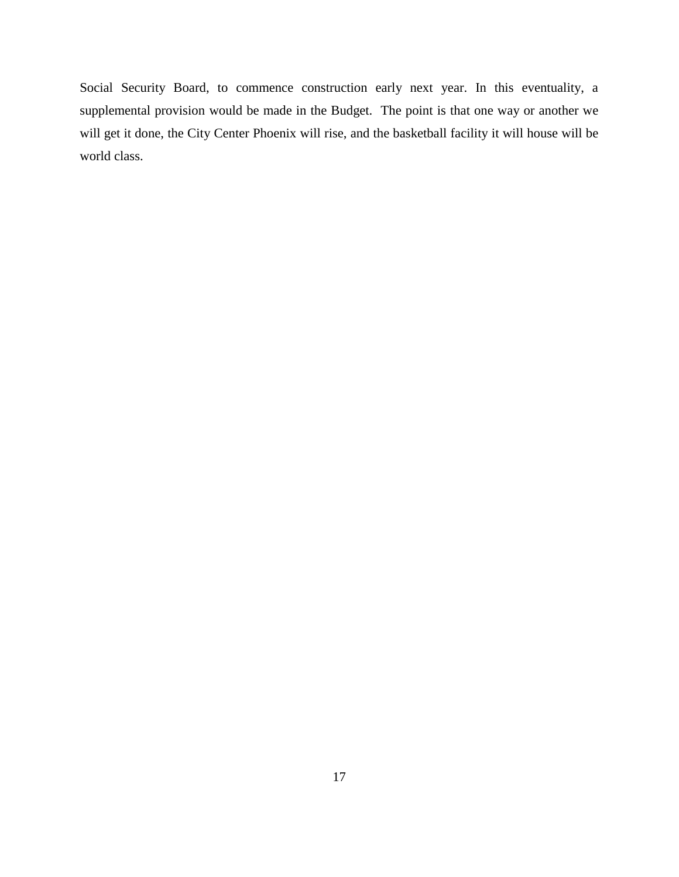Social Security Board, to commence construction early next year. In this eventuality, a supplemental provision would be made in the Budget. The point is that one way or another we will get it done, the City Center Phoenix will rise, and the basketball facility it will house will be world class.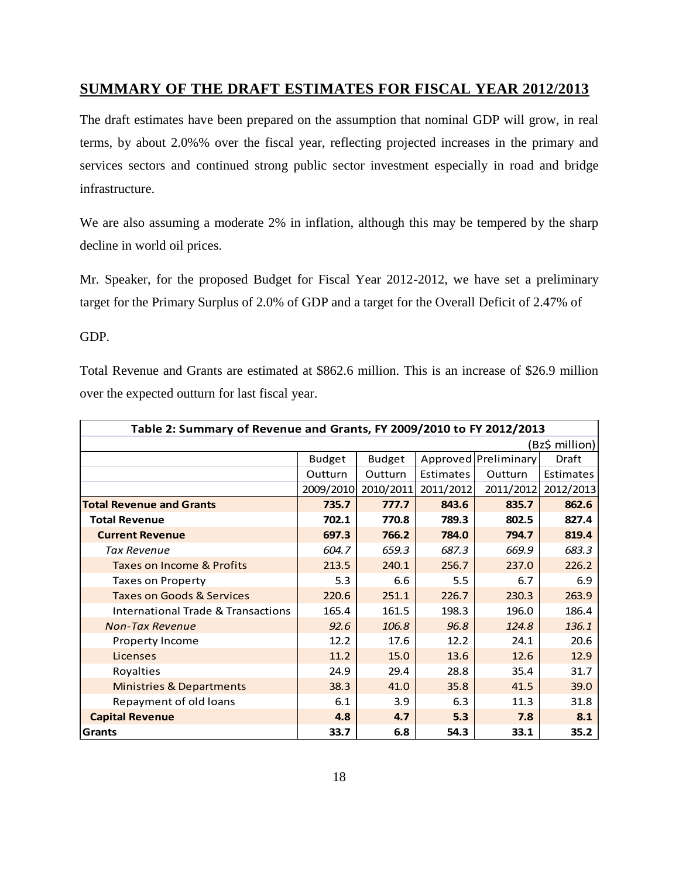# <span id="page-17-0"></span>**SUMMARY OF THE DRAFT ESTIMATES FOR FISCAL YEAR 2012/2013**

The draft estimates have been prepared on the assumption that nominal GDP will grow, in real terms, by about 2.0%% over the fiscal year, reflecting projected increases in the primary and services sectors and continued strong public sector investment especially in road and bridge infrastructure.

We are also assuming a moderate 2% in inflation, although this may be tempered by the sharp decline in world oil prices.

Mr. Speaker, for the proposed Budget for Fiscal Year 2012-2012, we have set a preliminary target for the Primary Surplus of 2.0% of GDP and a target for the Overall Deficit of 2.47% of

GDP.

Total Revenue and Grants are estimated at \$862.6 million. This is an increase of \$26.9 million over the expected outturn for last fiscal year.

| Table 2: Summary of Revenue and Grants, FY 2009/2010 to FY 2012/2013 |               |               |                  |                      |           |
|----------------------------------------------------------------------|---------------|---------------|------------------|----------------------|-----------|
| (Bz\$ million)                                                       |               |               |                  |                      |           |
|                                                                      | <b>Budget</b> | <b>Budget</b> |                  | Approved Preliminary | Draft     |
|                                                                      | Outturn       | Outturn       | <b>Estimates</b> | Outturn              | Estimates |
|                                                                      | 2009/2010     | 2010/2011     | 2011/2012        | 2011/2012            | 2012/2013 |
| <b>Total Revenue and Grants</b>                                      | 735.7         | 777.7         | 843.6            | 835.7                | 862.6     |
| <b>Total Revenue</b>                                                 | 702.1         | 770.8         | 789.3            | 802.5                | 827.4     |
| <b>Current Revenue</b>                                               | 697.3         | 766.2         | 784.0            | 794.7                | 819.4     |
| Tax Revenue                                                          | 604.7         | 659.3         | 687.3            | 669.9                | 683.3     |
| Taxes on Income & Profits                                            | 213.5         | 240.1         | 256.7            | 237.0                | 226.2     |
| <b>Taxes on Property</b>                                             | 5.3           | 6.6           | 5.5              | 6.7                  | 6.9       |
| <b>Taxes on Goods &amp; Services</b>                                 | 220.6         | 251.1         | 226.7            | 230.3                | 263.9     |
| <b>International Trade &amp; Transactions</b>                        | 165.4         | 161.5         | 198.3            | 196.0                | 186.4     |
| <b>Non-Tax Revenue</b>                                               | 92.6          | 106.8         | 96.8             | 124.8                | 136.1     |
| Property Income                                                      | 12.2          | 17.6          | 12.2             | 24.1                 | 20.6      |
| Licenses                                                             | 11.2          | 15.0          | 13.6             | 12.6                 | 12.9      |
| Royalties                                                            | 24.9          | 29.4          | 28.8             | 35.4                 | 31.7      |
| <b>Ministries &amp; Departments</b>                                  | 38.3          | 41.0          | 35.8             | 41.5                 | 39.0      |
| Repayment of old loans                                               | 6.1           | 3.9           | 6.3              | 11.3                 | 31.8      |
| <b>Capital Revenue</b>                                               | 4.8           | 4.7           | 5.3              | 7.8                  | 8.1       |
| Grants                                                               | 33.7          | 6.8           | 54.3             | 33.1                 | 35.2      |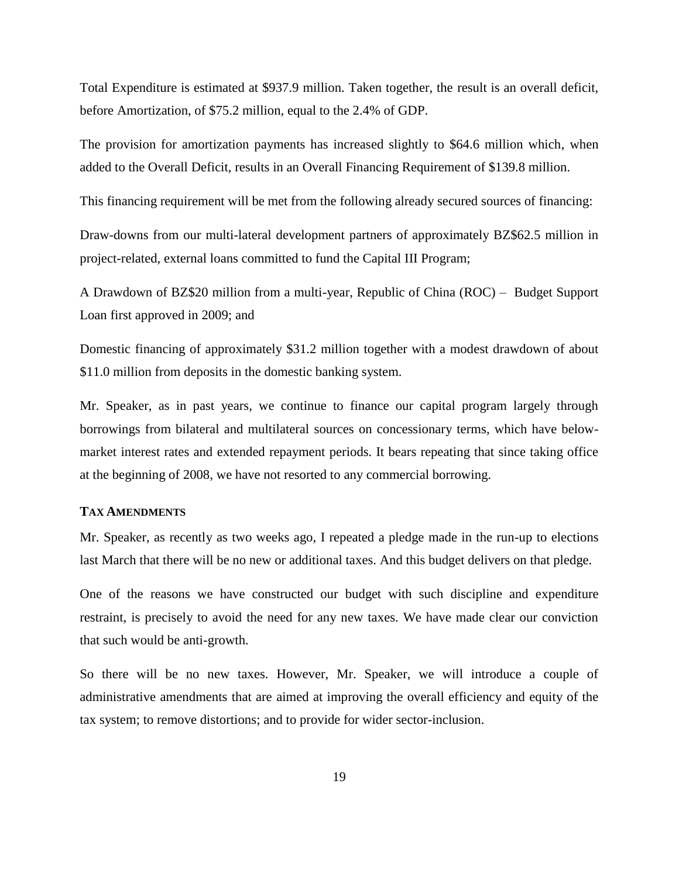Total Expenditure is estimated at \$937.9 million. Taken together, the result is an overall deficit, before Amortization, of \$75.2 million, equal to the 2.4% of GDP.

The provision for amortization payments has increased slightly to \$64.6 million which, when added to the Overall Deficit, results in an Overall Financing Requirement of \$139.8 million.

This financing requirement will be met from the following already secured sources of financing:

Draw-downs from our multi-lateral development partners of approximately BZ\$62.5 million in project-related, external loans committed to fund the Capital III Program;

A Drawdown of BZ\$20 million from a multi-year, Republic of China (ROC) – Budget Support Loan first approved in 2009; and

Domestic financing of approximately \$31.2 million together with a modest drawdown of about \$11.0 million from deposits in the domestic banking system.

Mr. Speaker, as in past years, we continue to finance our capital program largely through borrowings from bilateral and multilateral sources on concessionary terms, which have belowmarket interest rates and extended repayment periods. It bears repeating that since taking office at the beginning of 2008, we have not resorted to any commercial borrowing.

#### <span id="page-18-0"></span>**TAX AMENDMENTS**

Mr. Speaker, as recently as two weeks ago, I repeated a pledge made in the run-up to elections last March that there will be no new or additional taxes. And this budget delivers on that pledge.

One of the reasons we have constructed our budget with such discipline and expenditure restraint, is precisely to avoid the need for any new taxes. We have made clear our conviction that such would be anti-growth.

So there will be no new taxes. However, Mr. Speaker, we will introduce a couple of administrative amendments that are aimed at improving the overall efficiency and equity of the tax system; to remove distortions; and to provide for wider sector-inclusion.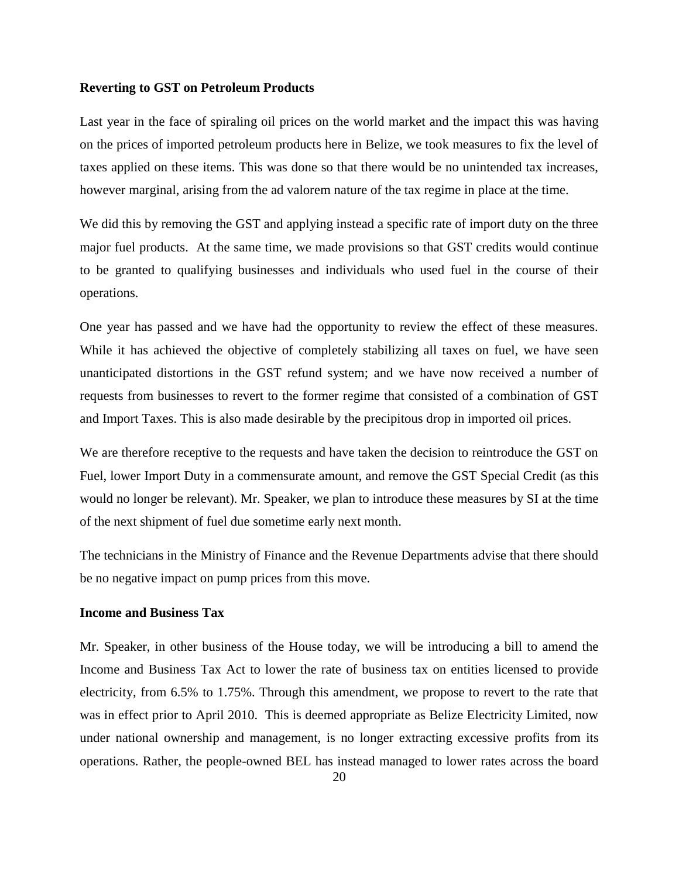#### **Reverting to GST on Petroleum Products**

Last year in the face of spiraling oil prices on the world market and the impact this was having on the prices of imported petroleum products here in Belize, we took measures to fix the level of taxes applied on these items. This was done so that there would be no unintended tax increases, however marginal, arising from the ad valorem nature of the tax regime in place at the time.

We did this by removing the GST and applying instead a specific rate of import duty on the three major fuel products. At the same time, we made provisions so that GST credits would continue to be granted to qualifying businesses and individuals who used fuel in the course of their operations.

One year has passed and we have had the opportunity to review the effect of these measures. While it has achieved the objective of completely stabilizing all taxes on fuel, we have seen unanticipated distortions in the GST refund system; and we have now received a number of requests from businesses to revert to the former regime that consisted of a combination of GST and Import Taxes. This is also made desirable by the precipitous drop in imported oil prices.

We are therefore receptive to the requests and have taken the decision to reintroduce the GST on Fuel, lower Import Duty in a commensurate amount, and remove the GST Special Credit (as this would no longer be relevant). Mr. Speaker, we plan to introduce these measures by SI at the time of the next shipment of fuel due sometime early next month.

The technicians in the Ministry of Finance and the Revenue Departments advise that there should be no negative impact on pump prices from this move.

#### **Income and Business Tax**

Mr. Speaker, in other business of the House today, we will be introducing a bill to amend the Income and Business Tax Act to lower the rate of business tax on entities licensed to provide electricity, from 6.5% to 1.75%. Through this amendment, we propose to revert to the rate that was in effect prior to April 2010. This is deemed appropriate as Belize Electricity Limited, now under national ownership and management, is no longer extracting excessive profits from its operations. Rather, the people-owned BEL has instead managed to lower rates across the board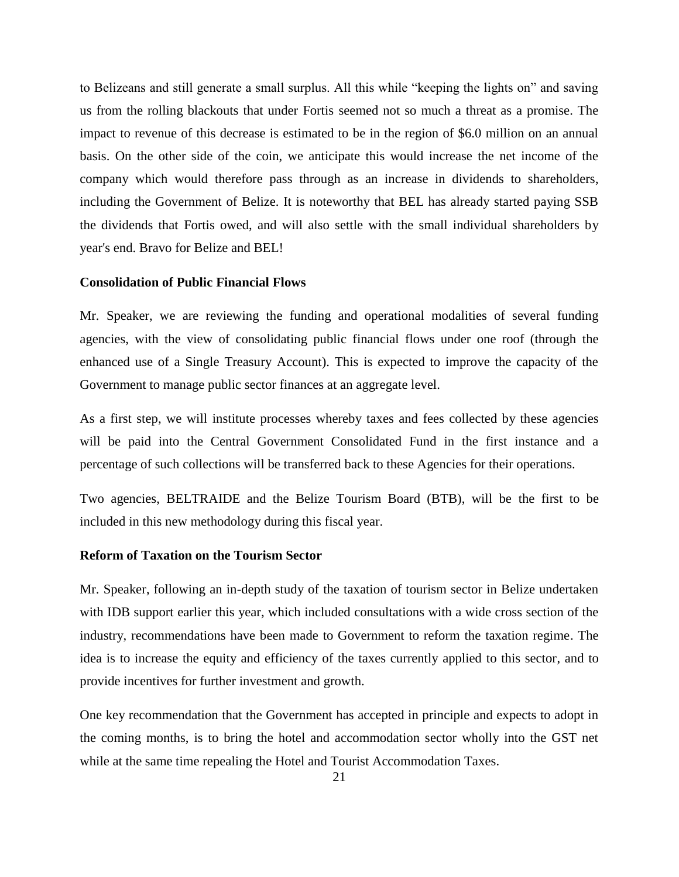to Belizeans and still generate a small surplus. All this while "keeping the lights on" and saving us from the rolling blackouts that under Fortis seemed not so much a threat as a promise. The impact to revenue of this decrease is estimated to be in the region of \$6.0 million on an annual basis. On the other side of the coin, we anticipate this would increase the net income of the company which would therefore pass through as an increase in dividends to shareholders, including the Government of Belize. It is noteworthy that BEL has already started paying SSB the dividends that Fortis owed, and will also settle with the small individual shareholders by year's end. Bravo for Belize and BEL!

#### **Consolidation of Public Financial Flows**

Mr. Speaker, we are reviewing the funding and operational modalities of several funding agencies, with the view of consolidating public financial flows under one roof (through the enhanced use of a Single Treasury Account). This is expected to improve the capacity of the Government to manage public sector finances at an aggregate level.

As a first step, we will institute processes whereby taxes and fees collected by these agencies will be paid into the Central Government Consolidated Fund in the first instance and a percentage of such collections will be transferred back to these Agencies for their operations.

Two agencies, BELTRAIDE and the Belize Tourism Board (BTB), will be the first to be included in this new methodology during this fiscal year.

#### **Reform of Taxation on the Tourism Sector**

Mr. Speaker, following an in-depth study of the taxation of tourism sector in Belize undertaken with IDB support earlier this year, which included consultations with a wide cross section of the industry, recommendations have been made to Government to reform the taxation regime. The idea is to increase the equity and efficiency of the taxes currently applied to this sector, and to provide incentives for further investment and growth.

One key recommendation that the Government has accepted in principle and expects to adopt in the coming months, is to bring the hotel and accommodation sector wholly into the GST net while at the same time repealing the Hotel and Tourist Accommodation Taxes.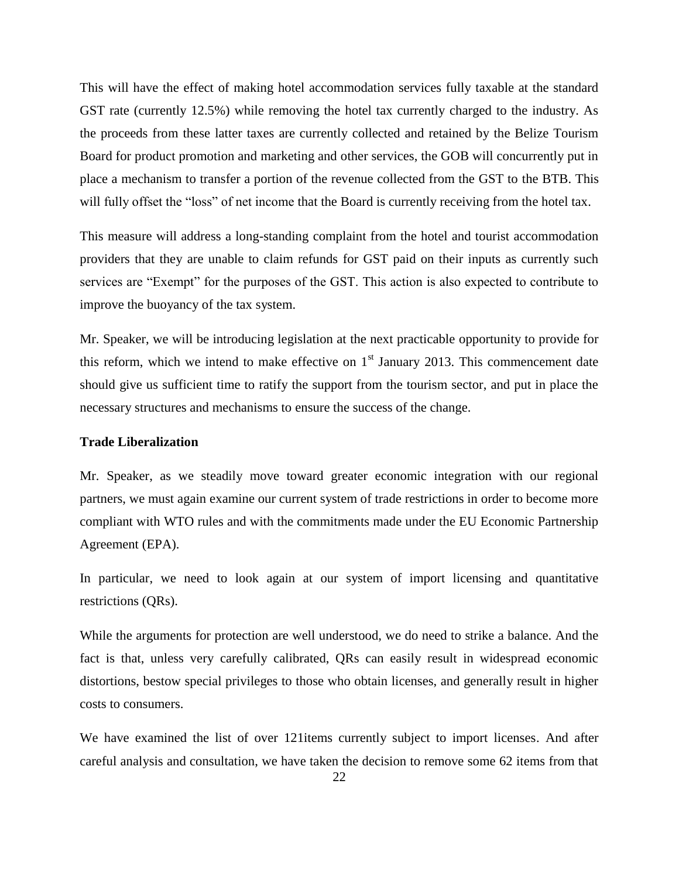This will have the effect of making hotel accommodation services fully taxable at the standard GST rate (currently 12.5%) while removing the hotel tax currently charged to the industry. As the proceeds from these latter taxes are currently collected and retained by the Belize Tourism Board for product promotion and marketing and other services, the GOB will concurrently put in place a mechanism to transfer a portion of the revenue collected from the GST to the BTB. This will fully offset the "loss" of net income that the Board is currently receiving from the hotel tax.

This measure will address a long-standing complaint from the hotel and tourist accommodation providers that they are unable to claim refunds for GST paid on their inputs as currently such services are "Exempt" for the purposes of the GST. This action is also expected to contribute to improve the buoyancy of the tax system.

Mr. Speaker, we will be introducing legislation at the next practicable opportunity to provide for this reform, which we intend to make effective on  $1<sup>st</sup>$  January 2013. This commencement date should give us sufficient time to ratify the support from the tourism sector, and put in place the necessary structures and mechanisms to ensure the success of the change.

### **Trade Liberalization**

Mr. Speaker, as we steadily move toward greater economic integration with our regional partners, we must again examine our current system of trade restrictions in order to become more compliant with WTO rules and with the commitments made under the EU Economic Partnership Agreement (EPA).

In particular, we need to look again at our system of import licensing and quantitative restrictions (QRs).

While the arguments for protection are well understood, we do need to strike a balance. And the fact is that, unless very carefully calibrated, QRs can easily result in widespread economic distortions, bestow special privileges to those who obtain licenses, and generally result in higher costs to consumers.

We have examined the list of over 121items currently subject to import licenses. And after careful analysis and consultation, we have taken the decision to remove some 62 items from that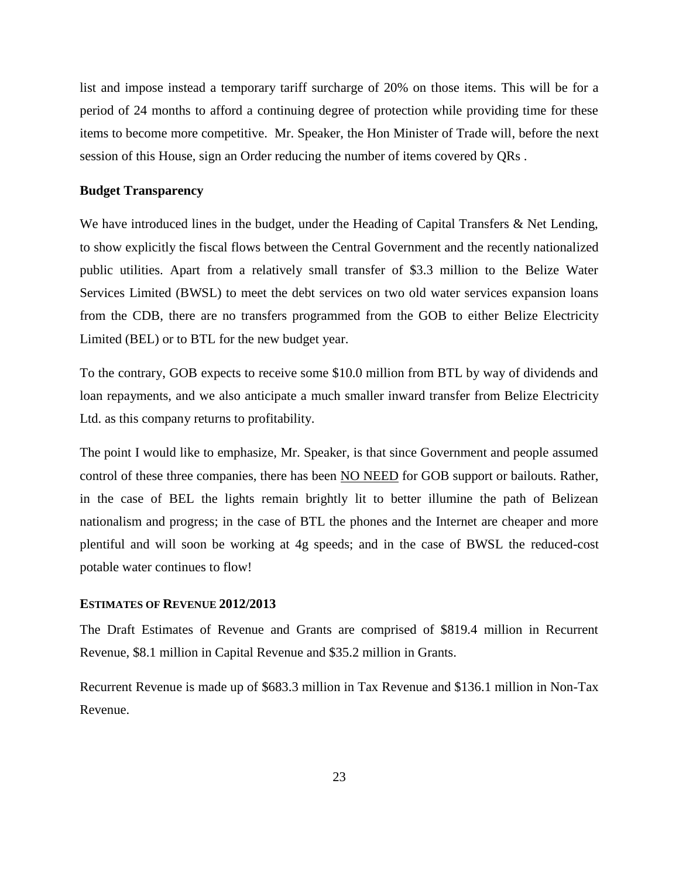list and impose instead a temporary tariff surcharge of 20% on those items. This will be for a period of 24 months to afford a continuing degree of protection while providing time for these items to become more competitive. Mr. Speaker, the Hon Minister of Trade will, before the next session of this House, sign an Order reducing the number of items covered by QRs .

## **Budget Transparency**

We have introduced lines in the budget, under the Heading of Capital Transfers & Net Lending, to show explicitly the fiscal flows between the Central Government and the recently nationalized public utilities. Apart from a relatively small transfer of \$3.3 million to the Belize Water Services Limited (BWSL) to meet the debt services on two old water services expansion loans from the CDB, there are no transfers programmed from the GOB to either Belize Electricity Limited (BEL) or to BTL for the new budget year.

To the contrary, GOB expects to receive some \$10.0 million from BTL by way of dividends and loan repayments, and we also anticipate a much smaller inward transfer from Belize Electricity Ltd. as this company returns to profitability.

The point I would like to emphasize, Mr. Speaker, is that since Government and people assumed control of these three companies, there has been NO NEED for GOB support or bailouts. Rather, in the case of BEL the lights remain brightly lit to better illumine the path of Belizean nationalism and progress; in the case of BTL the phones and the Internet are cheaper and more plentiful and will soon be working at 4g speeds; and in the case of BWSL the reduced-cost potable water continues to flow!

#### <span id="page-22-0"></span>**ESTIMATES OF REVENUE 2012/2013**

The Draft Estimates of Revenue and Grants are comprised of \$819.4 million in Recurrent Revenue, \$8.1 million in Capital Revenue and \$35.2 million in Grants.

Recurrent Revenue is made up of \$683.3 million in Tax Revenue and \$136.1 million in Non-Tax Revenue.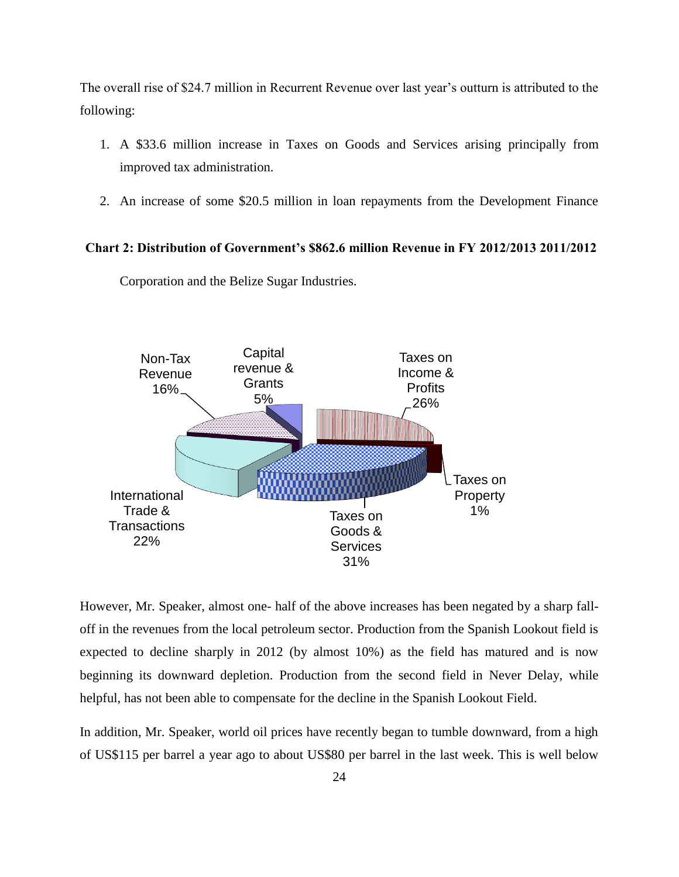The overall rise of \$24.7 million in Recurrent Revenue over last year's outturn is attributed to the following:

- 1. A \$33.6 million increase in Taxes on Goods and Services arising principally from improved tax administration.
- 2. An increase of some \$20.5 million in loan repayments from the Development Finance

### **Chart 2: Distribution of Government's \$862.6 million Revenue in FY 2012/2013 2011/2012**



Corporation and the Belize Sugar Industries.

However, Mr. Speaker, almost one- half of the above increases has been negated by a sharp falloff in the revenues from the local petroleum sector. Production from the Spanish Lookout field is expected to decline sharply in 2012 (by almost 10%) as the field has matured and is now beginning its downward depletion. Production from the second field in Never Delay, while helpful, has not been able to compensate for the decline in the Spanish Lookout Field.

In addition, Mr. Speaker, world oil prices have recently began to tumble downward, from a high of US\$115 per barrel a year ago to about US\$80 per barrel in the last week. This is well below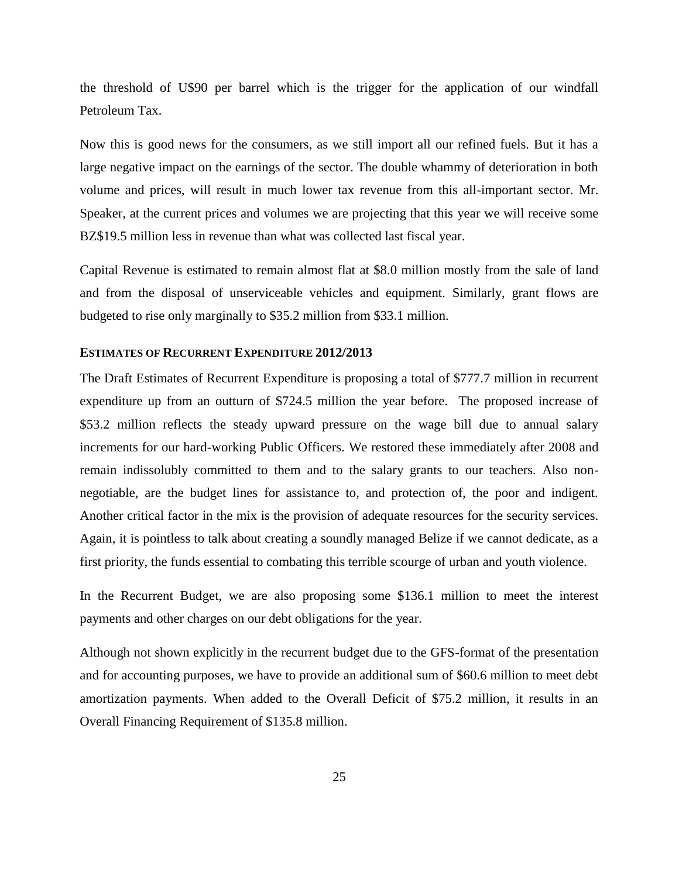the threshold of U\$90 per barrel which is the trigger for the application of our windfall Petroleum Tax.

Now this is good news for the consumers, as we still import all our refined fuels. But it has a large negative impact on the earnings of the sector. The double whammy of deterioration in both volume and prices, will result in much lower tax revenue from this all-important sector. Mr. Speaker, at the current prices and volumes we are projecting that this year we will receive some BZ\$19.5 million less in revenue than what was collected last fiscal year.

Capital Revenue is estimated to remain almost flat at \$8.0 million mostly from the sale of land and from the disposal of unserviceable vehicles and equipment. Similarly, grant flows are budgeted to rise only marginally to \$35.2 million from \$33.1 million.

#### <span id="page-24-0"></span>**ESTIMATES OF RECURRENT EXPENDITURE 2012/2013**

The Draft Estimates of Recurrent Expenditure is proposing a total of \$777.7 million in recurrent expenditure up from an outturn of \$724.5 million the year before. The proposed increase of \$53.2 million reflects the steady upward pressure on the wage bill due to annual salary increments for our hard-working Public Officers. We restored these immediately after 2008 and remain indissolubly committed to them and to the salary grants to our teachers. Also nonnegotiable, are the budget lines for assistance to, and protection of, the poor and indigent. Another critical factor in the mix is the provision of adequate resources for the security services. Again, it is pointless to talk about creating a soundly managed Belize if we cannot dedicate, as a first priority, the funds essential to combating this terrible scourge of urban and youth violence.

In the Recurrent Budget, we are also proposing some \$136.1 million to meet the interest payments and other charges on our debt obligations for the year.

Although not shown explicitly in the recurrent budget due to the GFS-format of the presentation and for accounting purposes, we have to provide an additional sum of \$60.6 million to meet debt amortization payments. When added to the Overall Deficit of \$75.2 million, it results in an Overall Financing Requirement of \$135.8 million.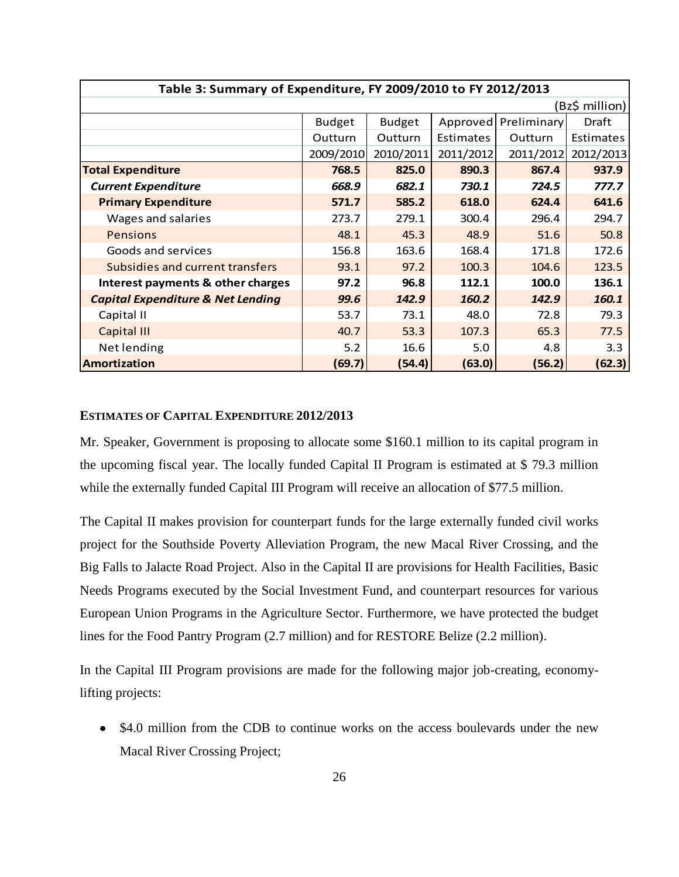| Table 3: Summary of Expenditure, FY 2009/2010 to FY 2012/2013 |               |               |           |             |           |  |
|---------------------------------------------------------------|---------------|---------------|-----------|-------------|-----------|--|
| (Bz\$ million)                                                |               |               |           |             |           |  |
|                                                               | <b>Budget</b> | <b>Budget</b> | Approved  | Preliminary | Draft     |  |
|                                                               | Outturn       | Outturn       | Estimates | Outturn     | Estimates |  |
|                                                               | 2009/2010     | 2010/2011     | 2011/2012 | 2011/2012   | 2012/2013 |  |
| <b>Total Expenditure</b>                                      | 768.5         | 825.0         | 890.3     | 867.4       | 937.9     |  |
| <b>Current Expenditure</b>                                    | 668.9         | 682.1         | 730.1     | 724.5       | 777.7     |  |
| <b>Primary Expenditure</b>                                    | 571.7         | 585.2         | 618.0     | 624.4       | 641.6     |  |
| Wages and salaries                                            | 273.7         | 279.1         | 300.4     | 296.4       | 294.7     |  |
| <b>Pensions</b>                                               | 48.1          | 45.3          | 48.9      | 51.6        | 50.8      |  |
| Goods and services                                            | 156.8         | 163.6         | 168.4     | 171.8       | 172.6     |  |
| <b>Subsidies and current transfers</b>                        | 93.1          | 97.2          | 100.3     | 104.6       | 123.5     |  |
| Interest payments & other charges                             | 97.2          | 96.8          | 112.1     | 100.0       | 136.1     |  |
| <b>Capital Expenditure &amp; Net Lending</b>                  | 99.6          | 142.9         | 160.2     | 142.9       | 160.1     |  |
| Capital II                                                    | 53.7          | 73.1          | 48.0      | 72.8        | 79.3      |  |
| Capital III                                                   | 40.7          | 53.3          | 107.3     | 65.3        | 77.5      |  |
| Net lending                                                   | 5.2           | 16.6          | 5.0       | 4.8         | 3.3       |  |
| <b>Amortization</b>                                           | (69.7)        | (54.4)        | (63.0)    | (56.2)      | (62.3)    |  |

#### <span id="page-25-0"></span>**ESTIMATES OF CAPITAL EXPENDITURE 2012/2013**

Mr. Speaker, Government is proposing to allocate some \$160.1 million to its capital program in the upcoming fiscal year. The locally funded Capital II Program is estimated at \$ 79.3 million while the externally funded Capital III Program will receive an allocation of \$77.5 million.

The Capital II makes provision for counterpart funds for the large externally funded civil works project for the Southside Poverty Alleviation Program, the new Macal River Crossing, and the Big Falls to Jalacte Road Project. Also in the Capital II are provisions for Health Facilities, Basic Needs Programs executed by the Social Investment Fund, and counterpart resources for various European Union Programs in the Agriculture Sector. Furthermore, we have protected the budget lines for the Food Pantry Program (2.7 million) and for RESTORE Belize (2.2 million).

In the Capital III Program provisions are made for the following major job-creating, economylifting projects:

• \$4.0 million from the CDB to continue works on the access boulevards under the new Macal River Crossing Project;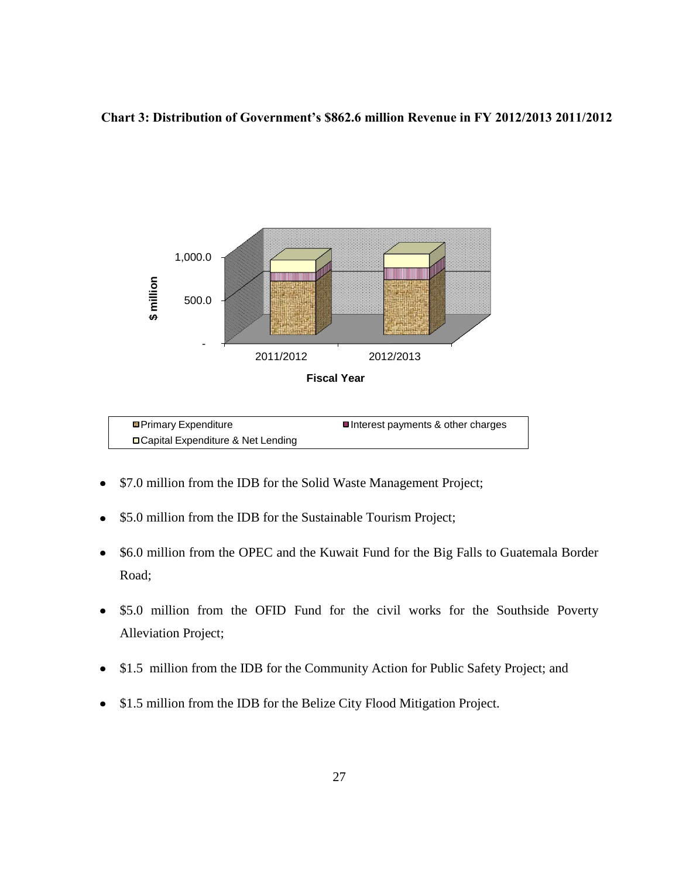## **Chart 3: Distribution of Government's \$862.6 million Revenue in FY 2012/2013 2011/2012**



| <b>■Primary Expenditure</b>         | $\blacksquare$ Interest payments & other charges |
|-------------------------------------|--------------------------------------------------|
| □ Capital Expenditure & Net Lending |                                                  |

- \$7.0 million from the IDB for the Solid Waste Management Project;
- \$5.0 million from the IDB for the Sustainable Tourism Project;
- \$6.0 million from the OPEC and the Kuwait Fund for the Big Falls to Guatemala Border  $\bullet$ Road;
- \$5.0 million from the OFID Fund for the civil works for the Southside Poverty  $\bullet$ Alleviation Project;
- \$1.5 million from the IDB for the Community Action for Public Safety Project; and  $\bullet$
- \$1.5 million from the IDB for the Belize City Flood Mitigation Project.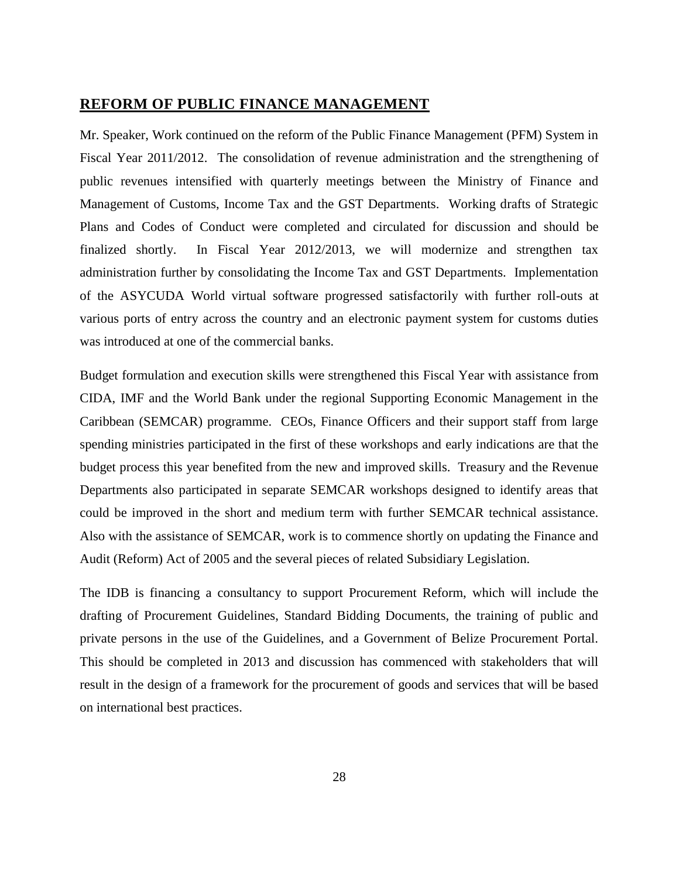# <span id="page-27-0"></span>**REFORM OF PUBLIC FINANCE MANAGEMENT**

Mr. Speaker, Work continued on the reform of the Public Finance Management (PFM) System in Fiscal Year 2011/2012. The consolidation of revenue administration and the strengthening of public revenues intensified with quarterly meetings between the Ministry of Finance and Management of Customs, Income Tax and the GST Departments. Working drafts of Strategic Plans and Codes of Conduct were completed and circulated for discussion and should be finalized shortly. In Fiscal Year 2012/2013, we will modernize and strengthen tax administration further by consolidating the Income Tax and GST Departments. Implementation of the ASYCUDA World virtual software progressed satisfactorily with further roll-outs at various ports of entry across the country and an electronic payment system for customs duties was introduced at one of the commercial banks.

Budget formulation and execution skills were strengthened this Fiscal Year with assistance from CIDA, IMF and the World Bank under the regional Supporting Economic Management in the Caribbean (SEMCAR) programme. CEOs, Finance Officers and their support staff from large spending ministries participated in the first of these workshops and early indications are that the budget process this year benefited from the new and improved skills. Treasury and the Revenue Departments also participated in separate SEMCAR workshops designed to identify areas that could be improved in the short and medium term with further SEMCAR technical assistance. Also with the assistance of SEMCAR, work is to commence shortly on updating the Finance and Audit (Reform) Act of 2005 and the several pieces of related Subsidiary Legislation.

The IDB is financing a consultancy to support Procurement Reform, which will include the drafting of Procurement Guidelines, Standard Bidding Documents, the training of public and private persons in the use of the Guidelines, and a Government of Belize Procurement Portal. This should be completed in 2013 and discussion has commenced with stakeholders that will result in the design of a framework for the procurement of goods and services that will be based on international best practices.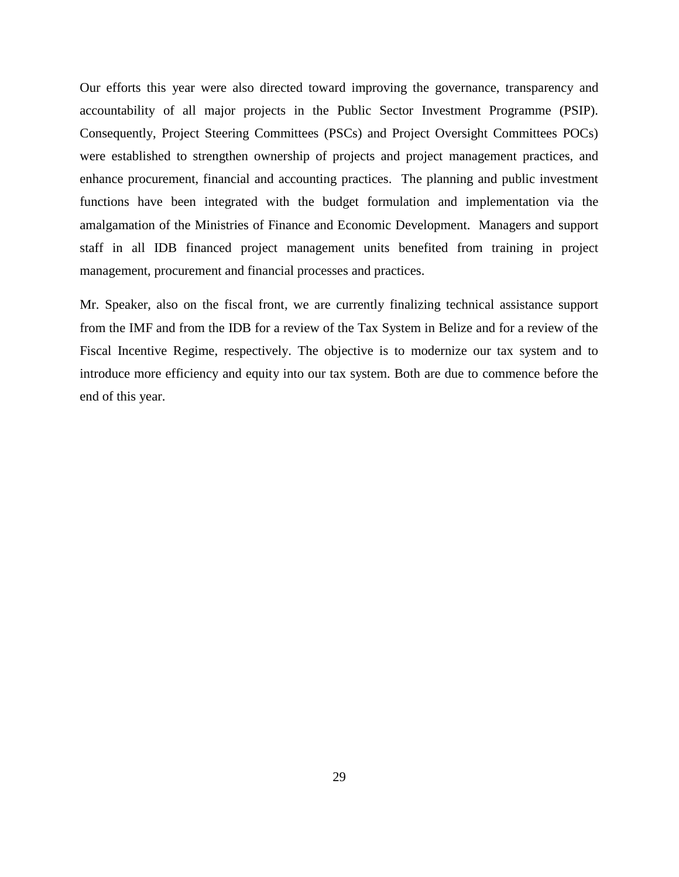Our efforts this year were also directed toward improving the governance, transparency and accountability of all major projects in the Public Sector Investment Programme (PSIP). Consequently, Project Steering Committees (PSCs) and Project Oversight Committees POCs) were established to strengthen ownership of projects and project management practices, and enhance procurement, financial and accounting practices. The planning and public investment functions have been integrated with the budget formulation and implementation via the amalgamation of the Ministries of Finance and Economic Development. Managers and support staff in all IDB financed project management units benefited from training in project management, procurement and financial processes and practices.

Mr. Speaker, also on the fiscal front, we are currently finalizing technical assistance support from the IMF and from the IDB for a review of the Tax System in Belize and for a review of the Fiscal Incentive Regime, respectively. The objective is to modernize our tax system and to introduce more efficiency and equity into our tax system. Both are due to commence before the end of this year.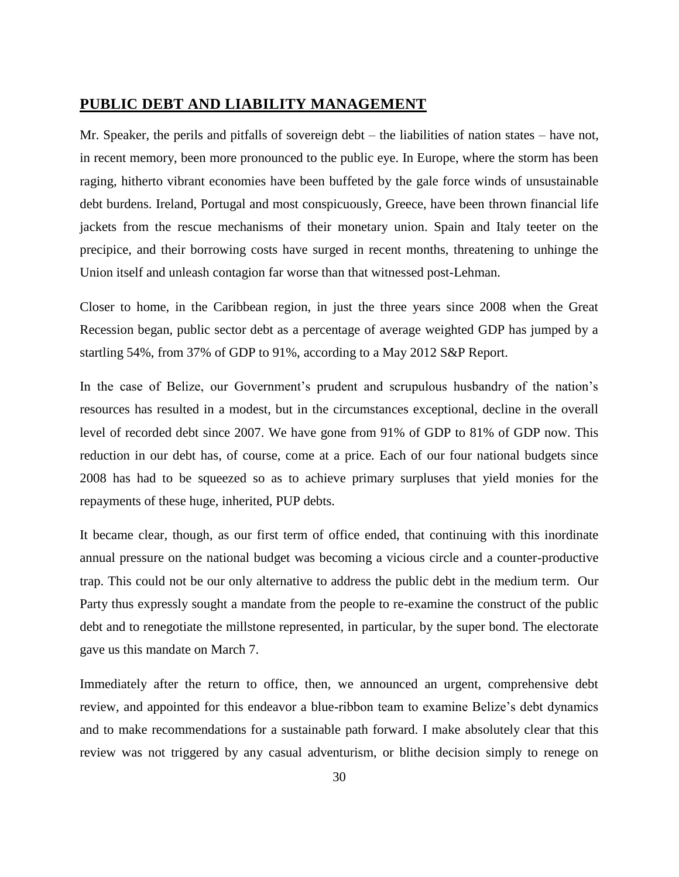# <span id="page-29-0"></span>**PUBLIC DEBT AND LIABILITY MANAGEMENT**

Mr. Speaker, the perils and pitfalls of sovereign debt – the liabilities of nation states – have not, in recent memory, been more pronounced to the public eye. In Europe, where the storm has been raging, hitherto vibrant economies have been buffeted by the gale force winds of unsustainable debt burdens. Ireland, Portugal and most conspicuously, Greece, have been thrown financial life jackets from the rescue mechanisms of their monetary union. Spain and Italy teeter on the precipice, and their borrowing costs have surged in recent months, threatening to unhinge the Union itself and unleash contagion far worse than that witnessed post-Lehman.

Closer to home, in the Caribbean region, in just the three years since 2008 when the Great Recession began, public sector debt as a percentage of average weighted GDP has jumped by a startling 54%, from 37% of GDP to 91%, according to a May 2012 S&P Report.

In the case of Belize, our Government's prudent and scrupulous husbandry of the nation's resources has resulted in a modest, but in the circumstances exceptional, decline in the overall level of recorded debt since 2007. We have gone from 91% of GDP to 81% of GDP now. This reduction in our debt has, of course, come at a price. Each of our four national budgets since 2008 has had to be squeezed so as to achieve primary surpluses that yield monies for the repayments of these huge, inherited, PUP debts.

It became clear, though, as our first term of office ended, that continuing with this inordinate annual pressure on the national budget was becoming a vicious circle and a counter-productive trap. This could not be our only alternative to address the public debt in the medium term. Our Party thus expressly sought a mandate from the people to re-examine the construct of the public debt and to renegotiate the millstone represented, in particular, by the super bond. The electorate gave us this mandate on March 7.

Immediately after the return to office, then, we announced an urgent, comprehensive debt review, and appointed for this endeavor a blue-ribbon team to examine Belize's debt dynamics and to make recommendations for a sustainable path forward. I make absolutely clear that this review was not triggered by any casual adventurism, or blithe decision simply to renege on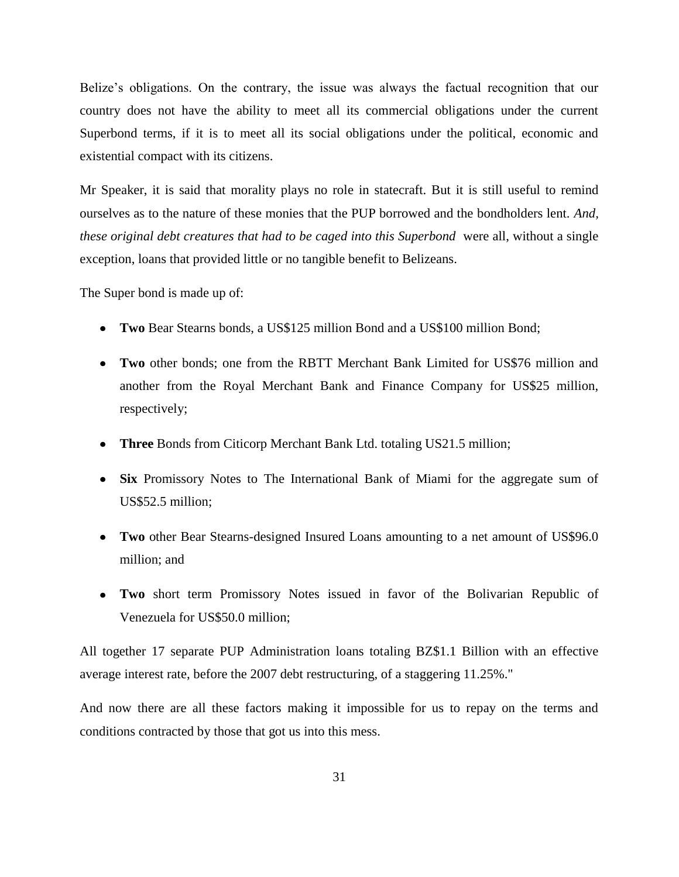Belize's obligations. On the contrary, the issue was always the factual recognition that our country does not have the ability to meet all its commercial obligations under the current Superbond terms, if it is to meet all its social obligations under the political, economic and existential compact with its citizens.

Mr Speaker, it is said that morality plays no role in statecraft. But it is still useful to remind ourselves as to the nature of these monies that the PUP borrowed and the bondholders lent. *And, these original debt creatures that had to be caged into this Superbond* were all, without a single exception, loans that provided little or no tangible benefit to Belizeans.

The Super bond is made up of:

- **Two** Bear Stearns bonds, a US\$125 million Bond and a US\$100 million Bond;
- **Two** other bonds; one from the RBTT Merchant Bank Limited for US\$76 million and another from the Royal Merchant Bank and Finance Company for US\$25 million, respectively;
- **Three** Bonds from Citicorp Merchant Bank Ltd. totaling US21.5 million;
- **Six** Promissory Notes to The International Bank of Miami for the aggregate sum of US\$52.5 million;
- **Two** other Bear Stearns-designed Insured Loans amounting to a net amount of US\$96.0 million; and
- **Two** short term Promissory Notes issued in favor of the Bolivarian Republic of Venezuela for US\$50.0 million;

All together 17 separate PUP Administration loans totaling BZ\$1.1 Billion with an effective average interest rate, before the 2007 debt restructuring, of a staggering 11.25%."

And now there are all these factors making it impossible for us to repay on the terms and conditions contracted by those that got us into this mess.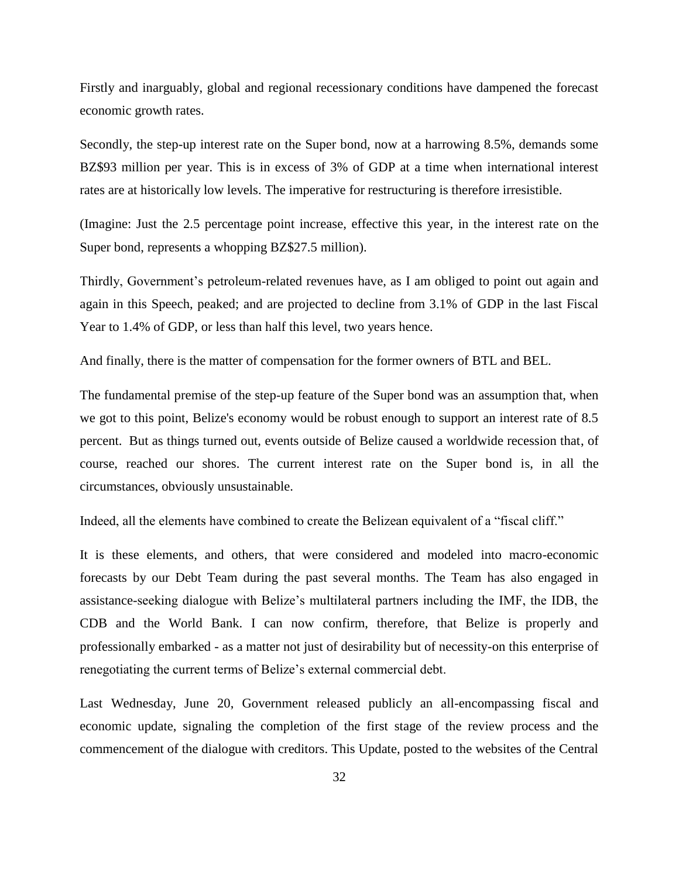Firstly and inarguably, global and regional recessionary conditions have dampened the forecast economic growth rates.

Secondly, the step-up interest rate on the Super bond, now at a harrowing 8.5%, demands some BZ\$93 million per year. This is in excess of 3% of GDP at a time when international interest rates are at historically low levels. The imperative for restructuring is therefore irresistible.

(Imagine: Just the 2.5 percentage point increase, effective this year, in the interest rate on the Super bond, represents a whopping BZ\$27.5 million).

Thirdly, Government's petroleum-related revenues have, as I am obliged to point out again and again in this Speech, peaked; and are projected to decline from 3.1% of GDP in the last Fiscal Year to 1.4% of GDP, or less than half this level, two years hence.

And finally, there is the matter of compensation for the former owners of BTL and BEL.

The fundamental premise of the step-up feature of the Super bond was an assumption that, when we got to this point, Belize's economy would be robust enough to support an interest rate of 8.5 percent. But as things turned out, events outside of Belize caused a worldwide recession that, of course, reached our shores. The current interest rate on the Super bond is, in all the circumstances, obviously unsustainable.

Indeed, all the elements have combined to create the Belizean equivalent of a "fiscal cliff."

It is these elements, and others, that were considered and modeled into macro-economic forecasts by our Debt Team during the past several months. The Team has also engaged in assistance-seeking dialogue with Belize's multilateral partners including the IMF, the IDB, the CDB and the World Bank. I can now confirm, therefore, that Belize is properly and professionally embarked - as a matter not just of desirability but of necessity-on this enterprise of renegotiating the current terms of Belize's external commercial debt.

Last Wednesday, June 20, Government released publicly an all-encompassing fiscal and economic update, signaling the completion of the first stage of the review process and the commencement of the dialogue with creditors. This Update, posted to the websites of the Central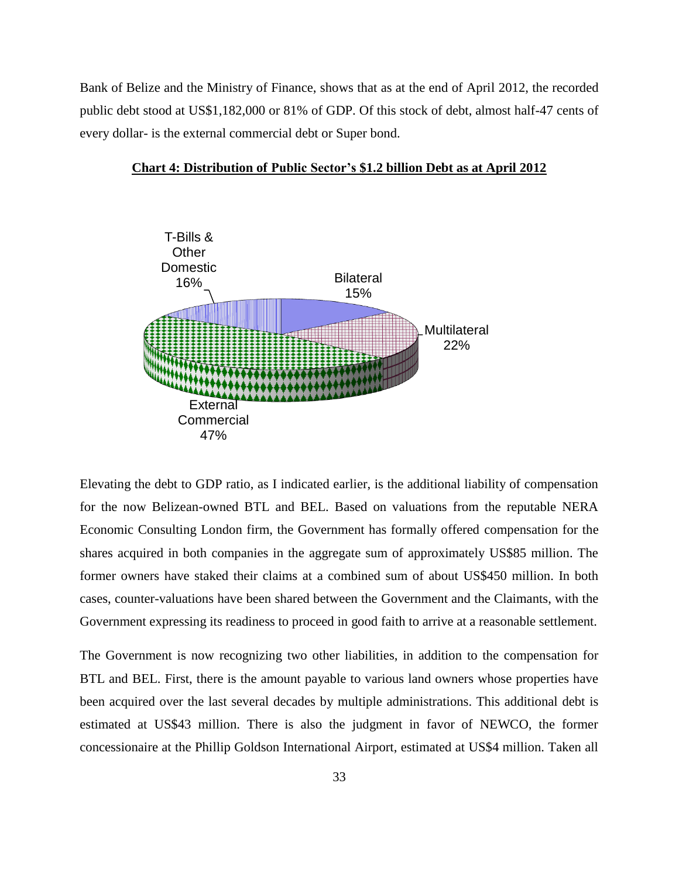Bank of Belize and the Ministry of Finance, shows that as at the end of April 2012, the recorded public debt stood at US\$1,182,000 or 81% of GDP. Of this stock of debt, almost half-47 cents of every dollar- is the external commercial debt or Super bond.



#### **Chart 4: Distribution of Public Sector's \$1.2 billion Debt as at April 2012**

Elevating the debt to GDP ratio, as I indicated earlier, is the additional liability of compensation for the now Belizean-owned BTL and BEL. Based on valuations from the reputable NERA Economic Consulting London firm, the Government has formally offered compensation for the shares acquired in both companies in the aggregate sum of approximately US\$85 million. The former owners have staked their claims at a combined sum of about US\$450 million. In both cases, counter-valuations have been shared between the Government and the Claimants, with the Government expressing its readiness to proceed in good faith to arrive at a reasonable settlement.

The Government is now recognizing two other liabilities, in addition to the compensation for BTL and BEL. First, there is the amount payable to various land owners whose properties have been acquired over the last several decades by multiple administrations. This additional debt is estimated at US\$43 million. There is also the judgment in favor of NEWCO, the former concessionaire at the Phillip Goldson International Airport, estimated at US\$4 million. Taken all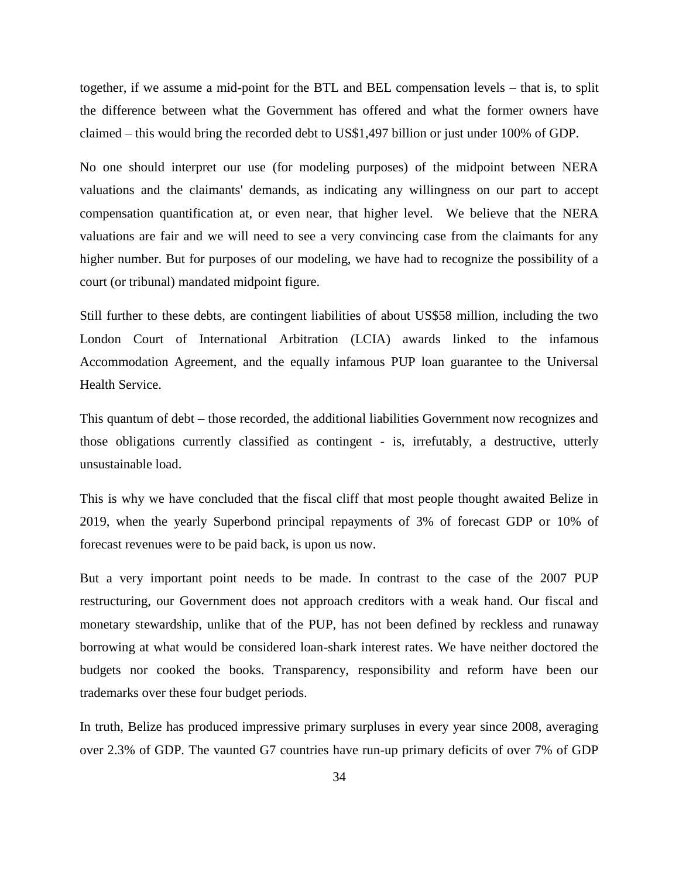together, if we assume a mid-point for the BTL and BEL compensation levels – that is, to split the difference between what the Government has offered and what the former owners have claimed – this would bring the recorded debt to US\$1,497 billion or just under 100% of GDP.

No one should interpret our use (for modeling purposes) of the midpoint between NERA valuations and the claimants' demands, as indicating any willingness on our part to accept compensation quantification at, or even near, that higher level. We believe that the NERA valuations are fair and we will need to see a very convincing case from the claimants for any higher number. But for purposes of our modeling, we have had to recognize the possibility of a court (or tribunal) mandated midpoint figure.

Still further to these debts, are contingent liabilities of about US\$58 million, including the two London Court of International Arbitration (LCIA) awards linked to the infamous Accommodation Agreement, and the equally infamous PUP loan guarantee to the Universal Health Service.

This quantum of debt – those recorded, the additional liabilities Government now recognizes and those obligations currently classified as contingent - is, irrefutably, a destructive, utterly unsustainable load.

This is why we have concluded that the fiscal cliff that most people thought awaited Belize in 2019, when the yearly Superbond principal repayments of 3% of forecast GDP or 10% of forecast revenues were to be paid back, is upon us now.

But a very important point needs to be made. In contrast to the case of the 2007 PUP restructuring, our Government does not approach creditors with a weak hand. Our fiscal and monetary stewardship, unlike that of the PUP, has not been defined by reckless and runaway borrowing at what would be considered loan-shark interest rates. We have neither doctored the budgets nor cooked the books. Transparency, responsibility and reform have been our trademarks over these four budget periods.

In truth, Belize has produced impressive primary surpluses in every year since 2008, averaging over 2.3% of GDP. The vaunted G7 countries have run-up primary deficits of over 7% of GDP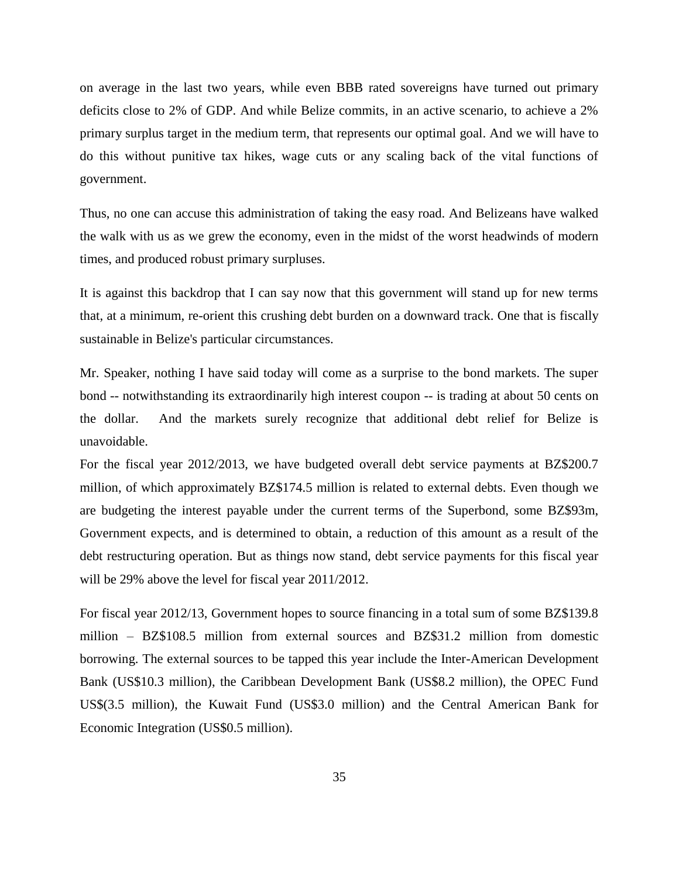on average in the last two years, while even BBB rated sovereigns have turned out primary deficits close to 2% of GDP. And while Belize commits, in an active scenario, to achieve a 2% primary surplus target in the medium term, that represents our optimal goal. And we will have to do this without punitive tax hikes, wage cuts or any scaling back of the vital functions of government.

Thus, no one can accuse this administration of taking the easy road. And Belizeans have walked the walk with us as we grew the economy, even in the midst of the worst headwinds of modern times, and produced robust primary surpluses.

It is against this backdrop that I can say now that this government will stand up for new terms that, at a minimum, re-orient this crushing debt burden on a downward track. One that is fiscally sustainable in Belize's particular circumstances.

Mr. Speaker, nothing I have said today will come as a surprise to the bond markets. The super bond -- notwithstanding its extraordinarily high interest coupon -- is trading at about 50 cents on the dollar. And the markets surely recognize that additional debt relief for Belize is unavoidable.

For the fiscal year 2012/2013, we have budgeted overall debt service payments at BZ\$200.7 million, of which approximately BZ\$174.5 million is related to external debts. Even though we are budgeting the interest payable under the current terms of the Superbond, some BZ\$93m, Government expects, and is determined to obtain, a reduction of this amount as a result of the debt restructuring operation. But as things now stand, debt service payments for this fiscal year will be 29% above the level for fiscal year 2011/2012.

For fiscal year 2012/13, Government hopes to source financing in a total sum of some BZ\$139.8 million – BZ\$108.5 million from external sources and BZ\$31.2 million from domestic borrowing. The external sources to be tapped this year include the Inter-American Development Bank (US\$10.3 million), the Caribbean Development Bank (US\$8.2 million), the OPEC Fund US\$(3.5 million), the Kuwait Fund (US\$3.0 million) and the Central American Bank for Economic Integration (US\$0.5 million).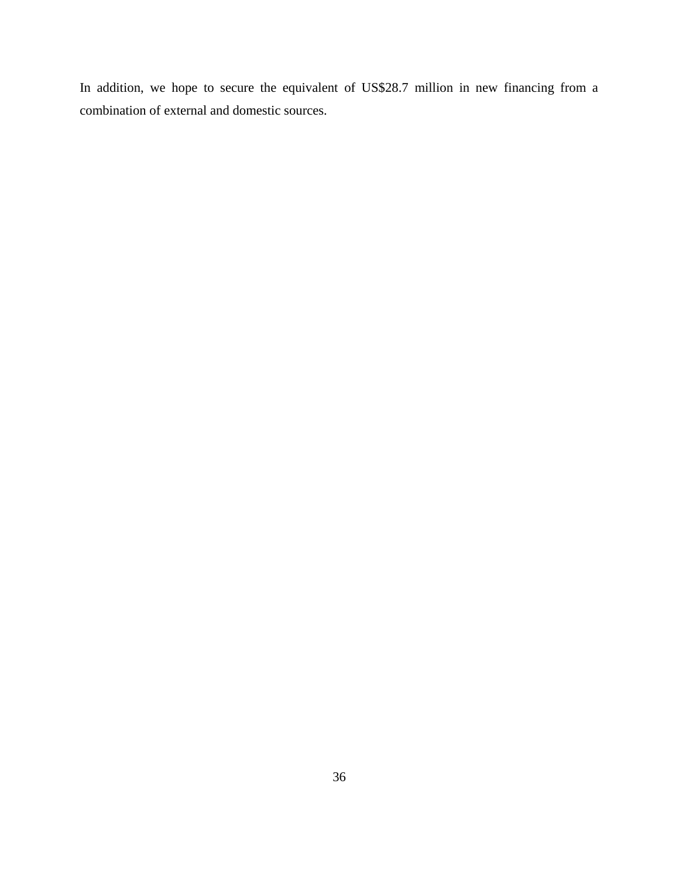In addition, we hope to secure the equivalent of US\$28.7 million in new financing from a combination of external and domestic sources.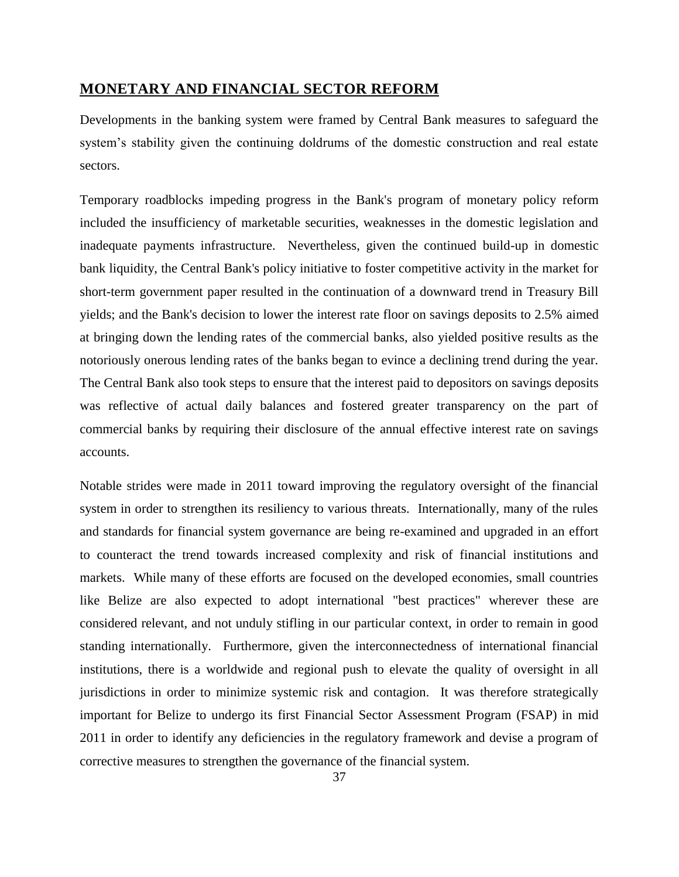# <span id="page-36-0"></span>**MONETARY AND FINANCIAL SECTOR REFORM**

Developments in the banking system were framed by Central Bank measures to safeguard the system's stability given the continuing doldrums of the domestic construction and real estate sectors.

Temporary roadblocks impeding progress in the Bank's program of monetary policy reform included the insufficiency of marketable securities, weaknesses in the domestic legislation and inadequate payments infrastructure. Nevertheless, given the continued build-up in domestic bank liquidity, the Central Bank's policy initiative to foster competitive activity in the market for short-term government paper resulted in the continuation of a downward trend in Treasury Bill yields; and the Bank's decision to lower the interest rate floor on savings deposits to 2.5% aimed at bringing down the lending rates of the commercial banks, also yielded positive results as the notoriously onerous lending rates of the banks began to evince a declining trend during the year. The Central Bank also took steps to ensure that the interest paid to depositors on savings deposits was reflective of actual daily balances and fostered greater transparency on the part of commercial banks by requiring their disclosure of the annual effective interest rate on savings accounts.

Notable strides were made in 2011 toward improving the regulatory oversight of the financial system in order to strengthen its resiliency to various threats. Internationally, many of the rules and standards for financial system governance are being re-examined and upgraded in an effort to counteract the trend towards increased complexity and risk of financial institutions and markets. While many of these efforts are focused on the developed economies, small countries like Belize are also expected to adopt international "best practices" wherever these are considered relevant, and not unduly stifling in our particular context, in order to remain in good standing internationally. Furthermore, given the interconnectedness of international financial institutions, there is a worldwide and regional push to elevate the quality of oversight in all jurisdictions in order to minimize systemic risk and contagion. It was therefore strategically important for Belize to undergo its first Financial Sector Assessment Program (FSAP) in mid 2011 in order to identify any deficiencies in the regulatory framework and devise a program of corrective measures to strengthen the governance of the financial system.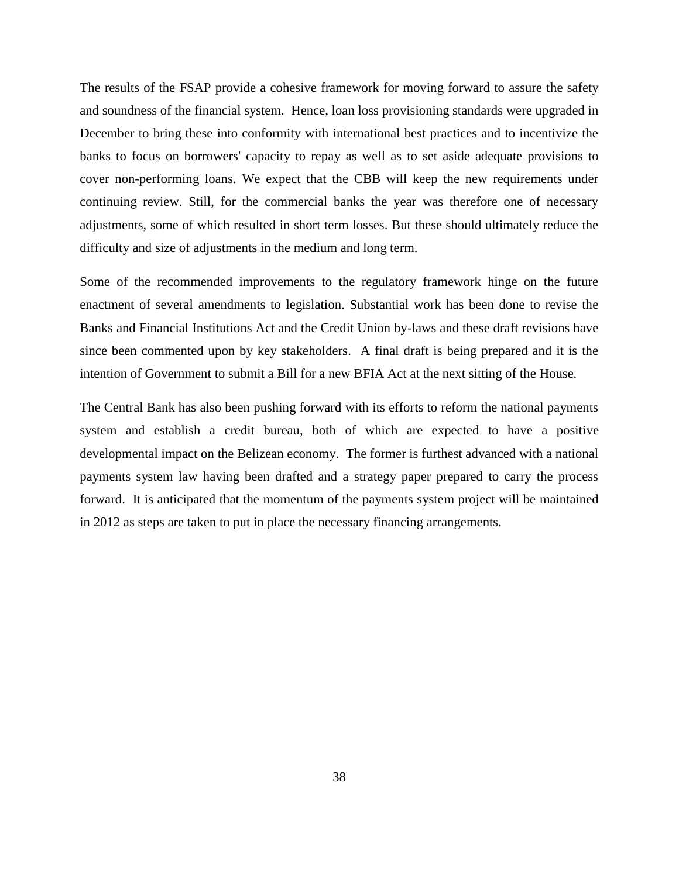The results of the FSAP provide a cohesive framework for moving forward to assure the safety and soundness of the financial system. Hence, loan loss provisioning standards were upgraded in December to bring these into conformity with international best practices and to incentivize the banks to focus on borrowers' capacity to repay as well as to set aside adequate provisions to cover non-performing loans. We expect that the CBB will keep the new requirements under continuing review. Still, for the commercial banks the year was therefore one of necessary adjustments, some of which resulted in short term losses. But these should ultimately reduce the difficulty and size of adjustments in the medium and long term.

Some of the recommended improvements to the regulatory framework hinge on the future enactment of several amendments to legislation. Substantial work has been done to revise the Banks and Financial Institutions Act and the Credit Union by-laws and these draft revisions have since been commented upon by key stakeholders. A final draft is being prepared and it is the intention of Government to submit a Bill for a new BFIA Act at the next sitting of the House.

The Central Bank has also been pushing forward with its efforts to reform the national payments system and establish a credit bureau, both of which are expected to have a positive developmental impact on the Belizean economy. The former is furthest advanced with a national payments system law having been drafted and a strategy paper prepared to carry the process forward. It is anticipated that the momentum of the payments system project will be maintained in 2012 as steps are taken to put in place the necessary financing arrangements.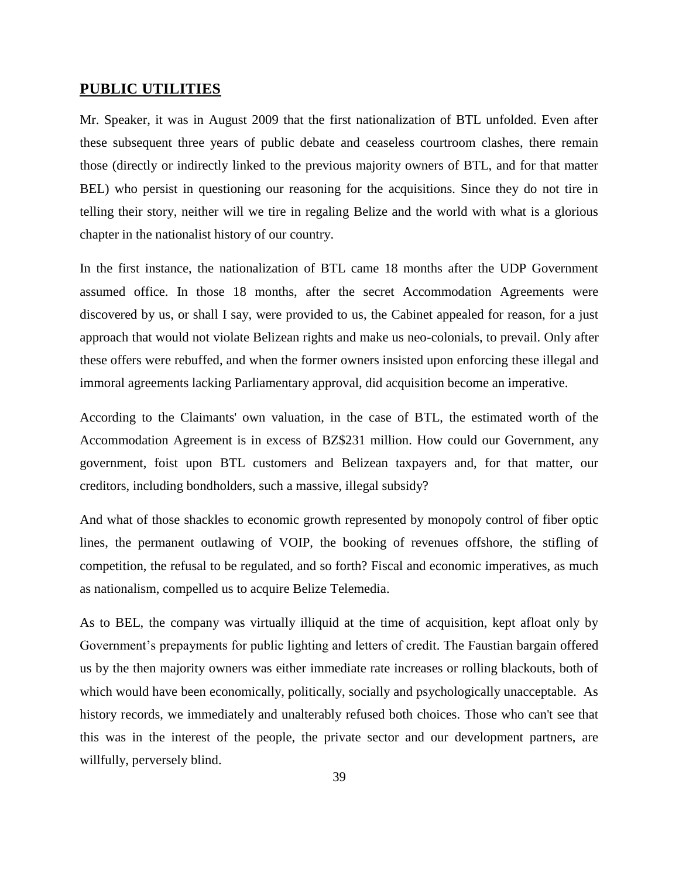## <span id="page-38-0"></span>**PUBLIC UTILITIES**

Mr. Speaker, it was in August 2009 that the first nationalization of BTL unfolded. Even after these subsequent three years of public debate and ceaseless courtroom clashes, there remain those (directly or indirectly linked to the previous majority owners of BTL, and for that matter BEL) who persist in questioning our reasoning for the acquisitions. Since they do not tire in telling their story, neither will we tire in regaling Belize and the world with what is a glorious chapter in the nationalist history of our country.

In the first instance, the nationalization of BTL came 18 months after the UDP Government assumed office. In those 18 months, after the secret Accommodation Agreements were discovered by us, or shall I say, were provided to us, the Cabinet appealed for reason, for a just approach that would not violate Belizean rights and make us neo-colonials, to prevail. Only after these offers were rebuffed, and when the former owners insisted upon enforcing these illegal and immoral agreements lacking Parliamentary approval, did acquisition become an imperative.

According to the Claimants' own valuation, in the case of BTL, the estimated worth of the Accommodation Agreement is in excess of BZ\$231 million. How could our Government, any government, foist upon BTL customers and Belizean taxpayers and, for that matter, our creditors, including bondholders, such a massive, illegal subsidy?

And what of those shackles to economic growth represented by monopoly control of fiber optic lines, the permanent outlawing of VOIP, the booking of revenues offshore, the stifling of competition, the refusal to be regulated, and so forth? Fiscal and economic imperatives, as much as nationalism, compelled us to acquire Belize Telemedia.

As to BEL, the company was virtually illiquid at the time of acquisition, kept afloat only by Government's prepayments for public lighting and letters of credit. The Faustian bargain offered us by the then majority owners was either immediate rate increases or rolling blackouts, both of which would have been economically, politically, socially and psychologically unacceptable. As history records, we immediately and unalterably refused both choices. Those who can't see that this was in the interest of the people, the private sector and our development partners, are willfully, perversely blind.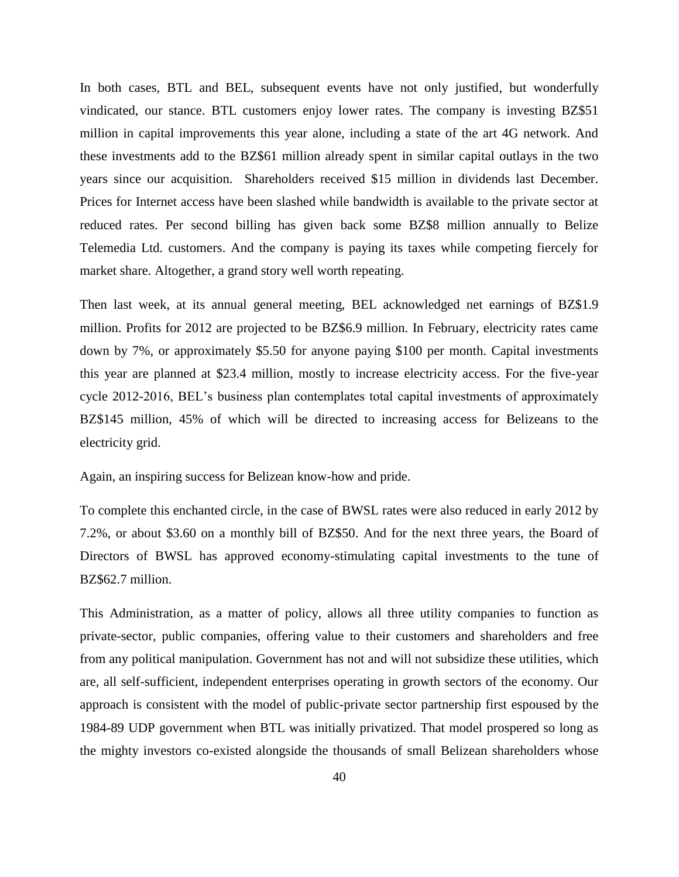In both cases, BTL and BEL, subsequent events have not only justified, but wonderfully vindicated, our stance. BTL customers enjoy lower rates. The company is investing BZ\$51 million in capital improvements this year alone, including a state of the art 4G network. And these investments add to the BZ\$61 million already spent in similar capital outlays in the two years since our acquisition. Shareholders received \$15 million in dividends last December. Prices for Internet access have been slashed while bandwidth is available to the private sector at reduced rates. Per second billing has given back some BZ\$8 million annually to Belize Telemedia Ltd. customers. And the company is paying its taxes while competing fiercely for market share. Altogether, a grand story well worth repeating.

Then last week, at its annual general meeting, BEL acknowledged net earnings of BZ\$1.9 million. Profits for 2012 are projected to be BZ\$6.9 million. In February, electricity rates came down by 7%, or approximately \$5.50 for anyone paying \$100 per month. Capital investments this year are planned at \$23.4 million, mostly to increase electricity access. For the five-year cycle 2012-2016, BEL's business plan contemplates total capital investments of approximately BZ\$145 million, 45% of which will be directed to increasing access for Belizeans to the electricity grid.

Again, an inspiring success for Belizean know-how and pride.

To complete this enchanted circle, in the case of BWSL rates were also reduced in early 2012 by 7.2%, or about \$3.60 on a monthly bill of BZ\$50. And for the next three years, the Board of Directors of BWSL has approved economy-stimulating capital investments to the tune of BZ\$62.7 million.

This Administration, as a matter of policy, allows all three utility companies to function as private-sector, public companies, offering value to their customers and shareholders and free from any political manipulation. Government has not and will not subsidize these utilities, which are, all self-sufficient, independent enterprises operating in growth sectors of the economy. Our approach is consistent with the model of public-private sector partnership first espoused by the 1984-89 UDP government when BTL was initially privatized. That model prospered so long as the mighty investors co-existed alongside the thousands of small Belizean shareholders whose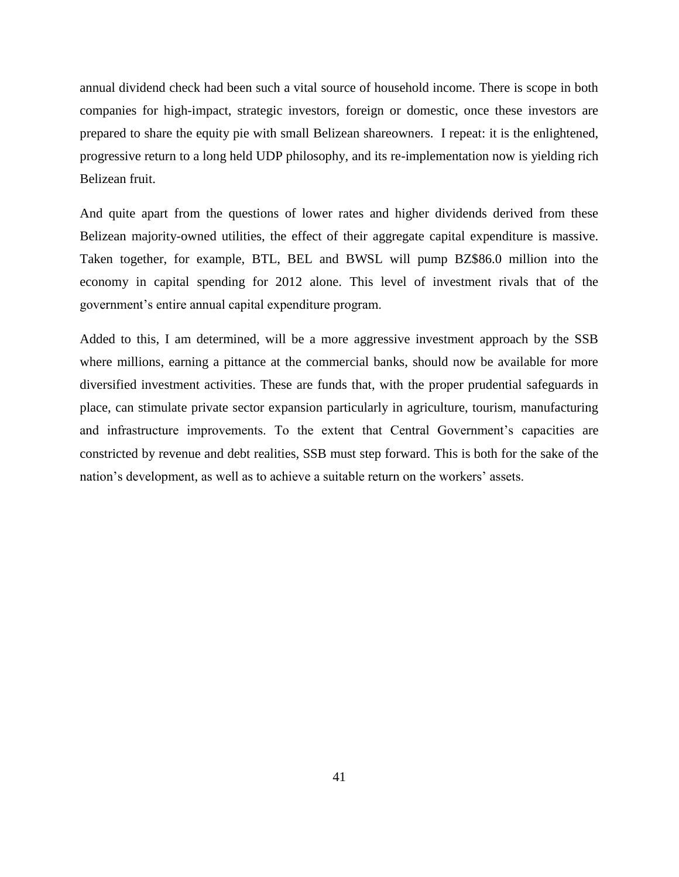annual dividend check had been such a vital source of household income. There is scope in both companies for high-impact, strategic investors, foreign or domestic, once these investors are prepared to share the equity pie with small Belizean shareowners. I repeat: it is the enlightened, progressive return to a long held UDP philosophy, and its re-implementation now is yielding rich Belizean fruit.

And quite apart from the questions of lower rates and higher dividends derived from these Belizean majority-owned utilities, the effect of their aggregate capital expenditure is massive. Taken together, for example, BTL, BEL and BWSL will pump BZ\$86.0 million into the economy in capital spending for 2012 alone. This level of investment rivals that of the government's entire annual capital expenditure program.

Added to this, I am determined, will be a more aggressive investment approach by the SSB where millions, earning a pittance at the commercial banks, should now be available for more diversified investment activities. These are funds that, with the proper prudential safeguards in place, can stimulate private sector expansion particularly in agriculture, tourism, manufacturing and infrastructure improvements. To the extent that Central Government's capacities are constricted by revenue and debt realities, SSB must step forward. This is both for the sake of the nation's development, as well as to achieve a suitable return on the workers' assets.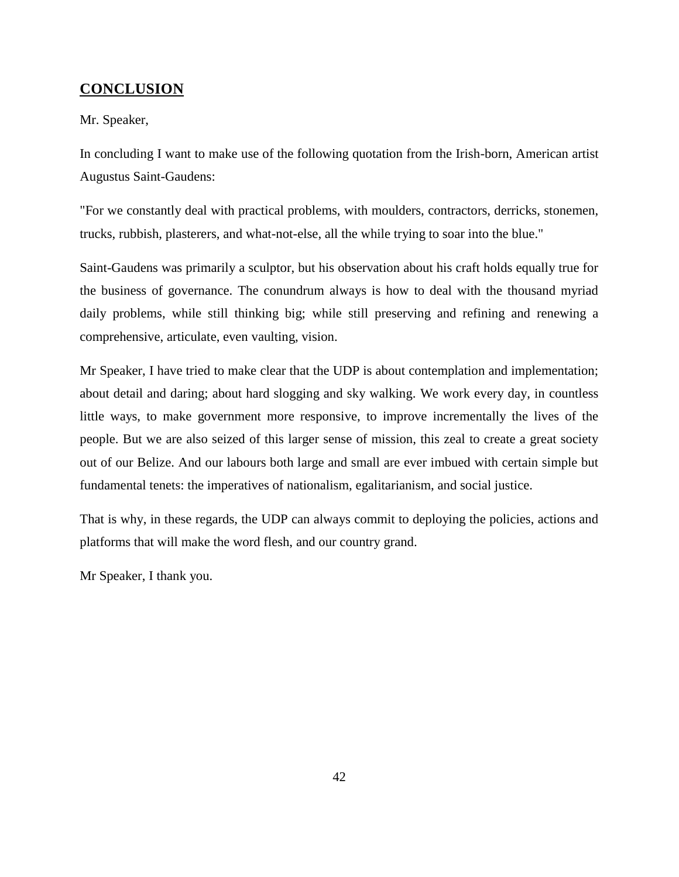# <span id="page-41-0"></span>**CONCLUSION**

#### Mr. Speaker,

In concluding I want to make use of the following quotation from the Irish-born, American artist Augustus Saint-Gaudens:

"For we constantly deal with practical problems, with moulders, contractors, derricks, stonemen, trucks, rubbish, plasterers, and what-not-else, all the while trying to soar into the blue."

Saint-Gaudens was primarily a sculptor, but his observation about his craft holds equally true for the business of governance. The conundrum always is how to deal with the thousand myriad daily problems, while still thinking big; while still preserving and refining and renewing a comprehensive, articulate, even vaulting, vision.

Mr Speaker, I have tried to make clear that the UDP is about contemplation and implementation; about detail and daring; about hard slogging and sky walking. We work every day, in countless little ways, to make government more responsive, to improve incrementally the lives of the people. But we are also seized of this larger sense of mission, this zeal to create a great society out of our Belize. And our labours both large and small are ever imbued with certain simple but fundamental tenets: the imperatives of nationalism, egalitarianism, and social justice.

That is why, in these regards, the UDP can always commit to deploying the policies, actions and platforms that will make the word flesh, and our country grand.

Mr Speaker, I thank you.